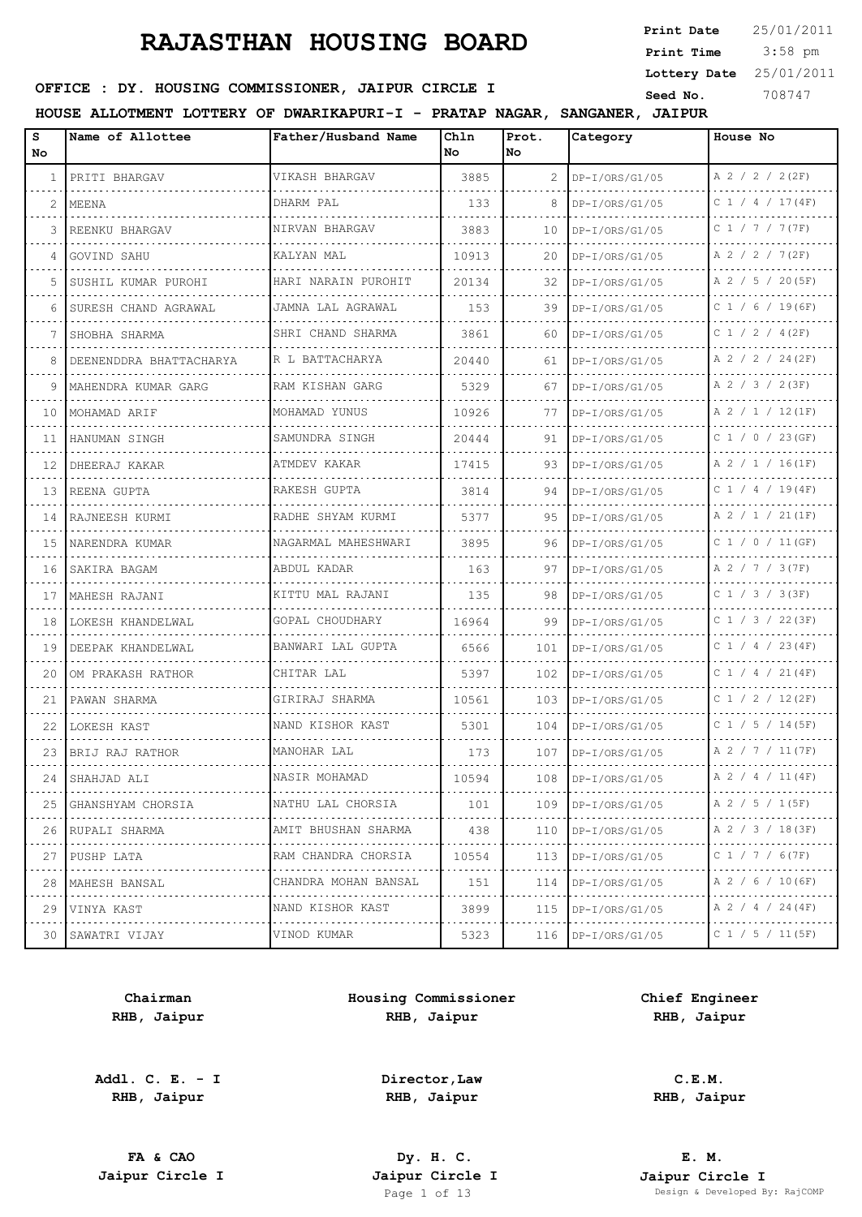3:58 pm **Print Date Print Time Lottery Date** 25/01/2011

## **SEED OFFICE : DY. HOUSING COMMISSIONER, JAIPUR CIRCLE I** Seed No. 308747

**HOUSE ALLOTMENT LOTTERY OF DWARIKAPURI-I - PRATAP NAGAR, SANGANER, JAIPUR**

| s<br>No.    | Name of Allottee        | Father/Husband Name       | Chln<br>No | Prot.<br>No | Category              | House No              |
|-------------|-------------------------|---------------------------|------------|-------------|-----------------------|-----------------------|
| 1           | PRITI BHARGAV           | VIKASH BHARGAV            | 3885       | 2           | DP-I/ORS/G1/05        | A 2 / 2 / 2 (2F)      |
| 2           | MEENA                   | DHARM PAL                 | 133        |             | DP-I/ORS/G1/05        | C 1 / 4 / 17(4F)      |
| 3           | REENKU BHARGAV          | NIRVAN BHARGAV            | 3883       | 10          | $DP-I/ORS/G1/05$      | C 1 / 7 / 7 (7F)      |
| 4           | GOVIND SAHU             | KALYAN MAL                | 10913      | 20          | $DP-I/ORS/G1/05$      | A 2 / 2 / 7(2F)       |
| 5           | SUSHIL KUMAR PUROHI     | .<br>HARI NARAIN PUROHIT  | 20134      | 32          | $DP-I/ORS/G1/05$      | A 2 / 5 / 20(5F)      |
| 6           | SURESH CHAND AGRAWAL    | JAMNA LAL AGRAWAL         | 153        | 39          | $DP-I/ORS/G1/05$      | $C$ 1 / 6 / 19(6F)    |
| 7           | SHOBHA SHARMA           | SHRI CHAND SHARMA         | 3861       | 60          | $DP-I/ORS/G1/05$      | C 1 / 2 / 4 (2F)      |
| 8           | DEENENDDRA BHATTACHARYA | R L BATTACHARYA<br>.      | 20440      | 61          | $DP-I/ORS/G1/05$      | A 2 / 2 / 24 (2F)     |
| 9           | MAHENDRA KUMAR GARG     | RAM KISHAN GARG           | 5329       | 67          | $DP-I/ORS/G1/05$      | A 2 / 3 / 2(3F)       |
| 10          | MOHAMAD ARIF<br>.       | MOHAMAD YUNUS<br>.        | 10926      | 77          | $DP-I/ORS/G1/05$      | A 2 / 1 / 12(1F)      |
| 11          | HANUMAN SINGH           | SAMUNDRA SINGH            | 20444      | 91          | $DP-I/ORS/G1/05$      | C 1 / 0 / 23 (GF)     |
| 12          | DHEERAJ KAKAR           | ATMDEV KAKAR              | 17415      | 93          | $DP-I/ORS/G1/05$<br>. | A 2 / 1 / 16(1F)      |
| 13          | REENA GUPTA             | RAKESH GUPTA              | 3814       | 94          | DP-I/ORS/G1/05        | C $1 / 4 / 19(4F)$    |
| 14          | RAJNEESH KURMI          | RADHE SHYAM KURMI<br>.    | 5377       | 95          | DP-I/ORS/G1/05        | A 2 / 1 / 21(1F)      |
| 15          | NARENDRA KUMAR          | NAGARMAL MAHESHWARI<br>.  | 3895       | 96          | $DP-I/ORS/G1/05$      | C1 / 0 / 11 (GF)      |
| 16          | SAKIRA BAGAM            | ABDUL KADAR               | 163        | 97          | $DP-I/ORS/G1/05$      | A 2 / 7 / 3 (7F)      |
| 17          | MAHESH RAJANI           | KITTU MAL RAJANI          | 135        | 98          | $DP-I/ORS/G1/05$      | C 1 / 3 / 3 (3F)      |
| 18          | LOKESH KHANDELWAL       | GOPAL CHOUDHARY<br>.      | 16964      | 99          | $DP-I/ORS/G1/05$      | $C$ 1 / 3 / 22(3F)    |
| 19          | DEEPAK KHANDELWAL       | BANWARI LAL GUPTA         | 6566       | 101         | $DP-I/ORS/G1/05$      | C 1 / 4 / 23 (4F)     |
| 20          | OM PRAKASH RATHOR       | CHITAR LAL                | 5397       | 102         | DP-I/ORS/G1/05        | C 1 / 4 / 21(4F)      |
| 21          | PAWAN SHARMA            | GIRIRAJ SHARMA            | 10561      | 103         | DP-I/ORS/G1/05        | C 1 / 2 / 12(2F)      |
| 22          | LOKESH KAST             | NAND KISHOR KAST          | 5301       | 104         | DP-I/ORS/G1/05        | $C$ 1 / 5 / 14 (5F)   |
| 23          | BRIJ RAJ RATHOR         | MANOHAR LAL               | 173        | 107         | $DP-I/ORS/G1/05$      | A 2 / 7 / 11 (7F)     |
|             | 24 SHAHJAD ALI          | NASIR MOHAMAD             | 10594      | 108         | $DP-I/ORS/G1/05$      | A 2 / 4 / 11 (4F)     |
| 25<br>.     | GHANSHYAM CHORSIA<br>.  | NATHU LAL CHORSIA<br>.    | 101        | 109         | $DP-I/ORS/G1/05$      | A 2 / 5 / 1(5F)       |
| 26          | RUPALI SHARMA<br>.      | AMIT BHUSHAN SHARMA       | 438        | 110         | $DP-I/ORS/G1/05$      | A 2 / 3 / 18(3F)      |
| 27<br>----- | PUSHP LATA<br>.         | RAM CHANDRA CHORSIA<br>.  | 10554      | 113         | $DP-I/ORS/G1/05$      | C 1 / 7 / 6 (7F)<br>. |
| 28          | MAHESH BANSAL           | CHANDRA MOHAN BANSAL<br>. | 151        | 114         | $DP-I/ORS/G1/05$      | A 2 / 6 / 10 (6F)     |
| 29          | VINYA KAST<br>.         | NAND KISHOR KAST<br>.     | 3899       | 115         | $DP-I/ORS/G1/05$      | A 2 / 4 / 24 (4F)     |
| 30          | SAWATRI VIJAY           | VINOD KUMAR               | 5323       | 116         | $DP-I/ORS/G1/05$      | C 1 / 5 / 11 (5F)     |

**Chairman RHB, Jaipur**

**Addl. C. E. - I RHB, Jaipur**

**Housing Commissioner RHB, Jaipur**

**Chief Engineer RHB, Jaipur**

**Director,Law RHB, Jaipur**

**FA & CAO Dy. H. C.**

**C.E.M. RHB, Jaipur**

**E. M. Jaipur Circle I Jaipur Circle I Jaipur Circle I Jaipur Circle I Jaipur Circle I Page 1 of 13 Design & Developed B** Design & Developed By: RajCOMP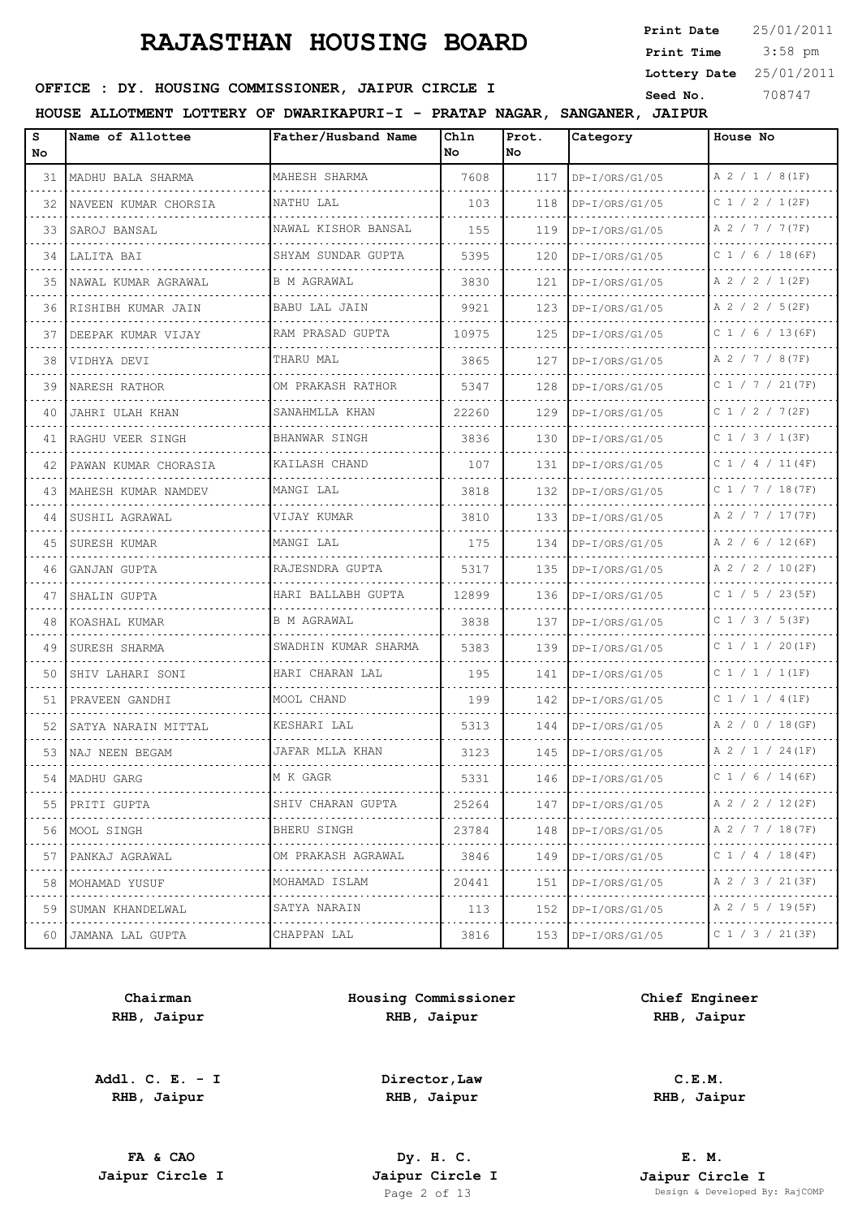3:58 pm **Print Date Print Time Lottery Date** 25/01/2011

## **SEED OFFICE : DY. HOUSING COMMISSIONER, JAIPUR CIRCLE I** Seed No. 308747

**HOUSE ALLOTMENT LOTTERY OF DWARIKAPURI-I - PRATAP NAGAR, SANGANER, JAIPUR**

| s<br>No | Name of Allottee      | Father/Husband Name    | Chln<br>l No | Prot.<br>lNo. | Category              | House No               |
|---------|-----------------------|------------------------|--------------|---------------|-----------------------|------------------------|
| 31      | MADHU BALA SHARMA     | MAHESH SHARMA          | 7608         | 117           | DP-I/ORS/G1/05        | A 2 / 1 / 8(1F)        |
| 32      | NAVEEN KUMAR CHORSIA  | NATHU LAL              | 103          | 118           | $DP-I/ORS/G1/05$      | $C$ 1 / 2 / 1(2F)      |
| 33      | SAROJ BANSAL          | NAWAL KISHOR BANSAL    | 155          | 119           | DP-I/ORS/G1/05        | A 2 / 7 / 7 (7F)       |
| 34      | LALITA BAI            | SHYAM SUNDAR GUPTA     | 5395         | 120           | $DP-I/ORS/G1/05$      | $C$ 1 / 6 / 18 (6F)    |
| 35      | NAWAL KUMAR AGRAWAL   | <b>B M AGRAWAL</b>     | 3830         | 121           | DP-I/ORS/G1/05        | A 2 / 2 / 1(2F)        |
| 36      | RISHIBH KUMAR JAIN    | <b>BABU LAL JAIN</b>   | 9921         | 123           | $DP-I/ORS/G1/05$      | A 2 / 2 / 5(2F)        |
| 37      | DEEPAK KUMAR VIJAY    | RAM PRASAD GUPTA       | 10975        | 125           | DP-I/ORS/G1/05        | $C$ 1 / 6 / 13(6F)     |
| 38      | VIDHYA DEVI<br>.      | THARU MAL              | 3865         | 127           | $DP-I/ORS/G1/05$      | A 2 / 7 / 8 (7F)       |
| 39      | NARESH RATHOR         | OM PRAKASH RATHOR      | 5347         | 128           | $DP-I/ORS/G1/05$      | $C$ 1 / 7 / 21(7F)     |
| 40      | JAHRI ULAH KHAN<br>.  | SANAHMLLA KHAN         | 22260        | 129           | DP-I/ORS/G1/05        | C 1 / 2 / 7 (2F)       |
| 41      | RAGHU VEER SINGH      | BHANWAR SINGH          | 3836         | 130           | $DP-I/ORS/G1/05$      | $C$ 1 / 3 / 1(3F)      |
| 42      | PAWAN KUMAR CHORASIA  | KAILASH CHAND          | 107          | 131           | DP-I/ORS/G1/05        | $C$ 1 / 4 / 11(4F)     |
| 43      | MAHESH KUMAR NAMDEV   | MANGI LAL              | 3818         | 132           | DP-I/ORS/G1/05        | C 1 / 7 / 18(7F)       |
| 44      | SUSHIL AGRAWAL        | VIJAY KUMAR            | 3810         | 133           | $DP-I/ORS/G1/05$      | A 2 / 7 / 17(7F)       |
| 45      | SURESH KUMAR          | MANGI LAL              | 175          | 134           | $DP-I/ORS/G1/05$      | A 2 / 6 / 12 (6F)      |
| 46      | GANJAN GUPTA          | RAJESNDRA GUPTA        | 5317         | 135           | $DP-I/ORS/G1/05$      | A 2 / 2 / 10(2F)       |
| 47      | SHALIN GUPTA          | HARI BALLABH GUPTA     | 12899        | 136           | $DP-I/ORS/G1/05$      | $C$ 1 / 5 / 23(5F)     |
| 48      | KOASHAL KUMAR         | B M AGRAWAL            | 3838         | 137           | $DP-I/ORS/G1/05$      | $C$ 1 / 3 / 5(3F)      |
| 49      | SURESH SHARMA         | SWADHIN KUMAR SHARMA   | 5383         | 139           | $DP-I/ORS/G1/05$      | C 1 / 1 / 20(1F)       |
| 50      | SHIV LAHARI SONI      | HARI CHARAN LAL        | 195          | 141           | $DP-I/ORS/G1/05$      | C1 / 1 / 1 (1F)        |
| 51      | PRAVEEN GANDHI        | MOOL CHAND             | 199          | 142           | $DP-I/ORS/G1/05$      | C 1 / 1 / 4 (1F)       |
| 52      | SATYA NARAIN MITTAL   | KESHARI LAL            | 5313         | 144           | $DP-I/ORS/G1/05$      | A 2 / 0 / 18 (GF)      |
| 53      | NAJ NEEN BEGAM        | JAFAR MLLA KHAN        | 3123         | 145           | $DP-I/ORS/G1/05$      | $A$ 2 / 1 / 24(1F)     |
| 54      | MADHU GARG            | M K GAGR               | 5331         | 146           | $DP-I/ORS/G1/05$      | C 1 / 6 / 14 (6F)      |
| 55      | PRITI GUPTA<br>.      | SHIV CHARAN GUPTA<br>. | 25264        | 147           | $DP-I/ORS/G1/05$<br>. | A 2 / 2 / 12(2F)<br>.  |
| 56      | MOOL SINGH            | BHERU SINGH            | 23784        | 148           | $DP-I/ORS/G1/05$      | A 2 / 7 / 18(7F)       |
| 57<br>. | PANKAJ AGRAWAL<br>.   | OM PRAKASH AGRAWAL     | 3846         | 149           | $DP-I/ORS/G1/05$<br>. | C 1 / 4 / 18 (4F)<br>. |
| 58      | MOHAMAD YUSUF<br>.    | MOHAMAD ISLAM<br>.     | 20441        | 151           | $DP-I/ORS/G1/05$      | A 2 / 3 / 21(3F)       |
| 59      | SUMAN KHANDELWAL<br>. | SATYA NARAIN<br>.      | 113          | 152           | $DP-I/ORS/G1/05$<br>. | A 2 / 5 / 19(5F)<br>.  |
| 60      | JAMANA LAL GUPTA      | CHAPPAN LAL            | 3816         | 153           | $DP-I/ORS/G1/05$      | C 1 / 3 / 21 (3F)      |

**Chairman RHB, Jaipur**

**Addl. C. E. - I RHB, Jaipur**

**Housing Commissioner RHB, Jaipur**

> **Director,Law RHB, Jaipur**

**Chief Engineer RHB, Jaipur**

> **C.E.M. RHB, Jaipur**

**FA & CAO Dy. H. C.**

**E. M. Jaipur Circle I Jaipur Circle I Jaipur Circle I Jaipur Circle I Jaipur Circle I Page 2 of 13 Design & Developed B** Design & Developed By: RajCOMP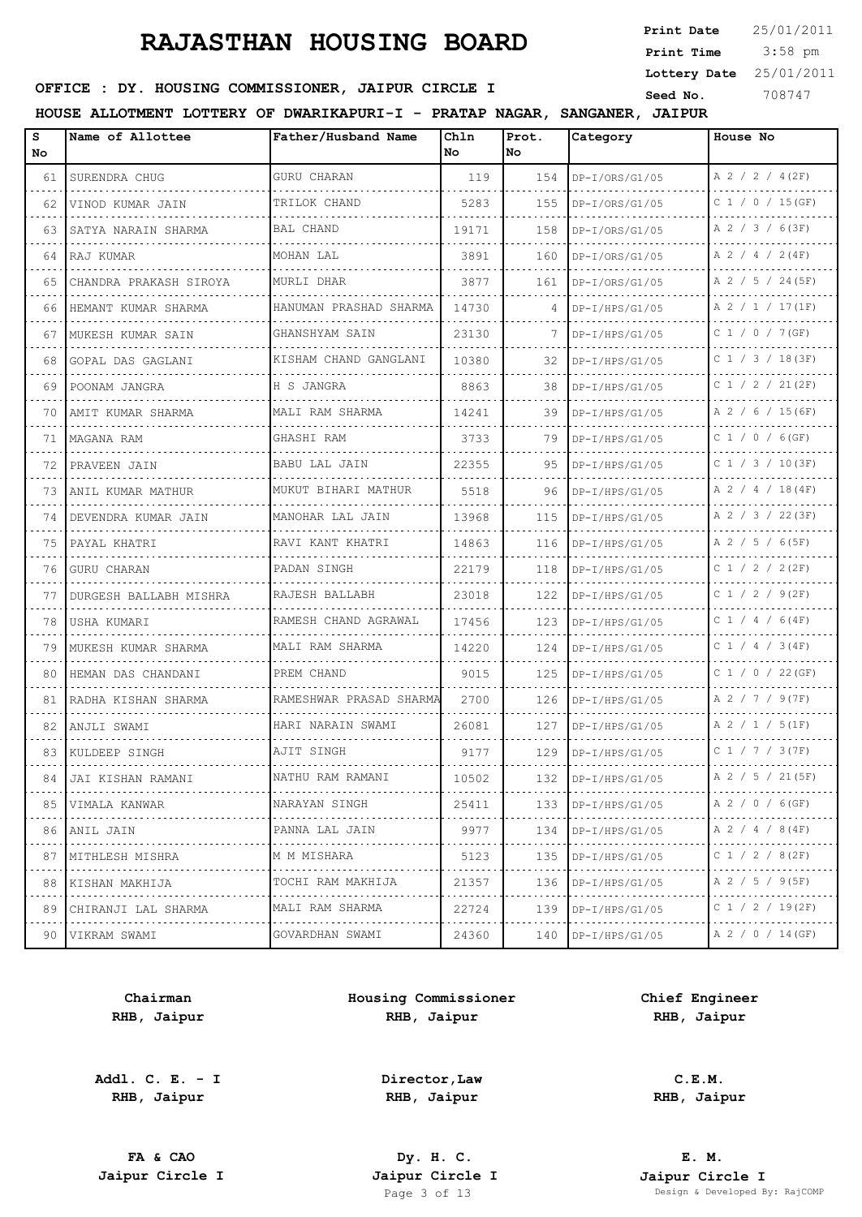| Print Date   | 25/01/2011 |
|--------------|------------|
| Print Time   | $3:58$ pm  |
| Lottery Date | 25/01/2011 |
| C            | 708717     |

## **SEED OFFICE : DY. HOUSING COMMISSIONER, JAIPUR CIRCLE I** Seed No. 308747

**HOUSE ALLOTMENT LOTTERY OF DWARIKAPURI-I - PRATAP NAGAR, SANGANER, JAIPUR**

| s<br>No | Name of Allottee        | Father/Husband Name     | Chln<br>No | Prot.<br>lNo. | Category              | House No                |
|---------|-------------------------|-------------------------|------------|---------------|-----------------------|-------------------------|
| 61      | SURENDRA CHUG           | <b>GURU CHARAN</b>      | 119        | 154           | DP-I/ORS/G1/05        | A 2 / 2 / 4 (2F)        |
| 62      | VINOD KUMAR JAIN        | TRILOK CHAND            | 5283       | 155           | $DP-I/ORS/G1/05$      | $C$ 1 / 0 / 15(GF)      |
| 63      | SATYA NARAIN SHARMA     | <b>BAL CHAND</b>        | 19171      | 158           | DP-I/ORS/G1/05        | A 2 / 3 / 6(3F)         |
| 64      | RAJ KUMAR               | MOHAN LAL               | 3891       | 160           | $DP-I/ORS/G1/05$      | $A$ 2 / 4 / 2(4F)       |
| 65      | CHANDRA PRAKASH SIROYA  | MURLI DHAR              | 3877       | 161           | $DP-I/ORS/G1/05$      | A 2 / 5 / 24 (5F)       |
| 66      | HEMANT KUMAR SHARMA     | HANUMAN PRASHAD SHARMA  | 14730      | 4             | DP-I/HPS/G1/05        | A 2 / 1 / 17(1F)        |
| 67      | MUKESH KUMAR SAIN       | GHANSHYAM SAIN          | 23130      | 7             | DP-I/HPS/G1/05        | .<br>$C$ 1 / 0 / 7 (GF) |
| 68      | GOPAL DAS GAGLANI       | KISHAM CHAND GANGLANI   | 10380      | 32            | $DP-I/HPS/G1/05$      | $C$ 1 / 3 / 18(3F)      |
| 69      | POONAM JANGRA           | H S JANGRA              | 8863       | 38            | $DP-I/HPS/G1/05$      | .<br>C 1 / 2 / 21(2F)   |
| 70      | AMIT KUMAR SHARMA       | MALI RAM SHARMA         | 14241      | 39            | $DP-I/HPS/G1/05$      | A 2 / 6 / 15(6F)        |
| 71      | MAGANA RAM              | GHASHI RAM              | 3733       | 79            | DP-I/HPS/G1/05        | C 1 / 0 / 6(GF)         |
| 72      | PRAVEEN JAIN            | BABU LAL JAIN           | 22355      | 95            | DP-I/HPS/G1/05        | $C$ 1 / 3 / 10(3F)<br>. |
| 73      | ANIL KUMAR MATHUR       | MUKUT BIHARI MATHUR     | 5518       | 96            | DP-I/HPS/G1/05        | A 2 / 4 / 18(4F)        |
| 74      | DEVENDRA KUMAR JAIN     | MANOHAR LAL JAIN        | 13968      | 115           | $DP-I/HPS/G1/05$<br>. | A 2 / 3 / 22(3F)        |
| 75      | PAYAL KHATRI            | RAVI KANT KHATRI        | 14863      | 116           | $DP-I/HPS/G1/05$      | A 2 / 5 / 6(5F)         |
| 76      | <b>GURU CHARAN</b>      | PADAN SINGH             | 22179      | 118           | $DP-I/HPS/G1/05$      | C 1 / 2 / 2 (2F)        |
| 77      | DURGESH BALLABH MISHRA  | RAJESH BALLABH          | 23018      | 122           | $DP-I/HPS/G1/05$      | $C$ 1 / 2 / 9(2F)       |
| 78      | USHA KUMARI             | RAMESH CHAND AGRAWAL    | 17456      | 123           | $DP-I/HPS/G1/05$      | $C$ 1 / 4 / 6(4F)       |
| 79      | MUKESH KUMAR SHARMA     | MALI RAM SHARMA         | 14220      | 124           | $DP-I/HPS/G1/05$      | C 1 / 4 / 3 (4F)        |
| 80      | HEMAN DAS CHANDANI      | PREM CHAND              | 9015       | 125           | $DP-I/HPS/G1/05$      | $C$ 1 / 0 / 22 (GF)     |
| 81      | RADHA KISHAN SHARMA     | RAMESHWAR PRASAD SHARMA | 2700       | 126           | DP-I/HPS/G1/05        | A 2 / 7 / 9(7F)         |
| 82      | ANJLI SWAMI             | HARI NARAIN SWAMI       | 26081      | 127           | $DP-I/HPS/G1/05$      | A 2 / 1 / 5(1F)         |
| 83      | KULDEEP SINGH           | AJIT SINGH              | 9177       | 129           | DP-I/HPS/G1/05        | C 1 / 7 / 3 (7F)        |
| 84 I    | JAI KISHAN RAMANI       | NATHU RAM RAMANI        | 10502      | 132           | $DP-I/HPS/G1/05$      | A 2 / 5 / 21 (5F)       |
|         | 85 VIMALA KANWAR<br>.   | NARAYAN SINGH<br>.      | 25411      | 133           | DP-I/HPS/G1/05        | A 2 / 0 / 6 (GF)        |
|         | 86   ANIL JAIN          | PANNA LAL JAIN          | 9977       | 134           | $DP-I/HPS/G1/05$      | A 2 / 4 / 8 (4F)        |
|         | 87 MITHLESH MISHRA<br>. | M M MISHARA<br>.        | 5123       | 135           | $DP-I/HPS/G1/05$      | C 1 / 2 / 8 (2F)<br>.   |
| 88      | KISHAN MAKHIJA          | TOCHI RAM MAKHIJA       | 21357      | 136           | $DP-I/HPS/G1/05$      | A 2 / 5 / 9(5F)         |
| 89      | CHIRANJI LAL SHARMA     | MALI RAM SHARMA<br>.    | 22724      | 139           | $DP-I/HPS/G1/05$      | C 1 / 2 / 19(2F)        |
| 90 I    | VIKRAM SWAMI            | GOVARDHAN SWAMI         | 24360      | 140           | DP-I/HPS/G1/05        | A 2 / 0 / 14 (GF)       |

**Chairman RHB, Jaipur**

**Addl. C. E. - I RHB, Jaipur**

**Housing Commissioner RHB, Jaipur**

**Chief Engineer RHB, Jaipur**

**Director,Law RHB, Jaipur**

**FA & CAO Dy. H. C.**

**C.E.M. RHB, Jaipur**

**E. M. Jaipur Circle I Jaipur Circle I Jaipur Circle I Jaipur Circle I Jaipur Circle I Page 3 of 13 Design & Developed B** Design & Developed By: RajCOMP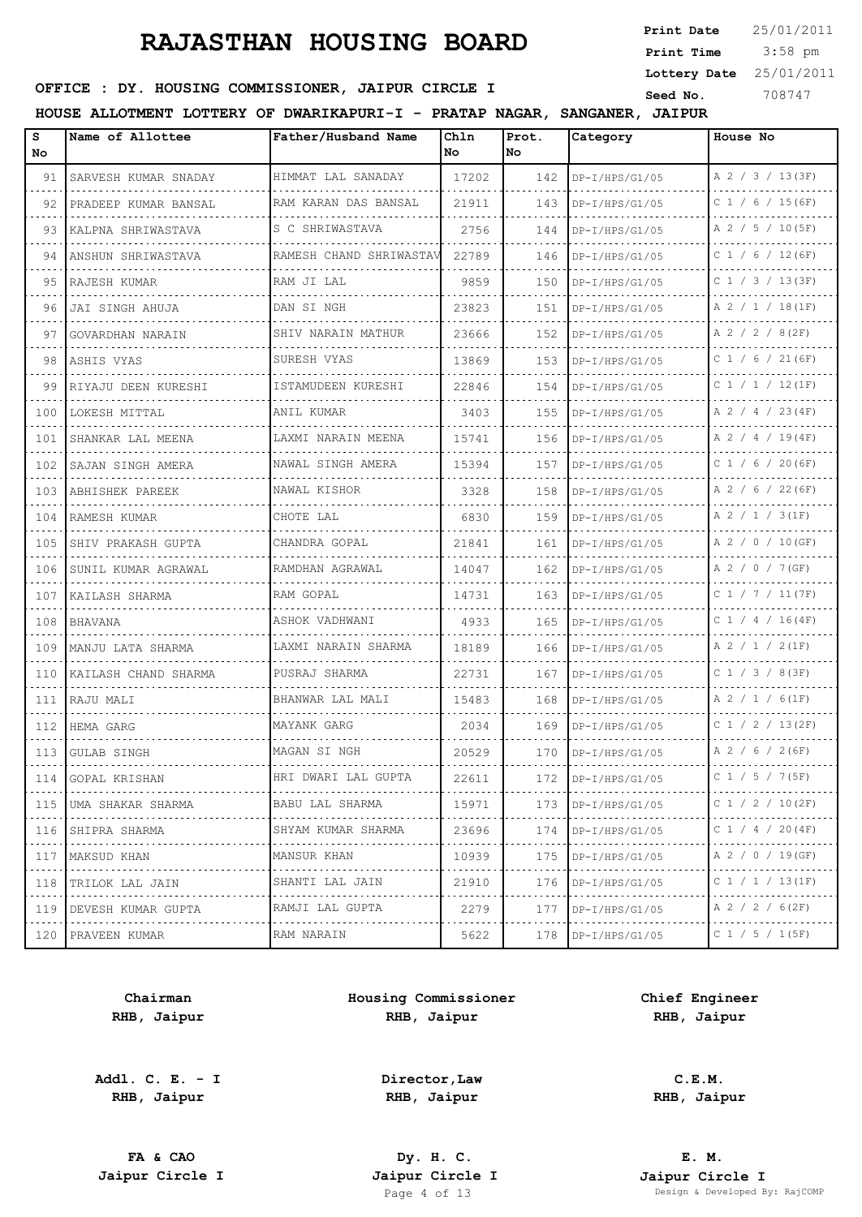3:58 pm **Print Date Print Time Lottery Date** 25/01/2011

## **SEED OFFICE : DY. HOUSING COMMISSIONER, JAIPUR CIRCLE I** Seed No. 308747

**HOUSE ALLOTMENT LOTTERY OF DWARIKAPURI-I - PRATAP NAGAR, SANGANER, JAIPUR**

| s<br>No | Name of Allottee            | Father/Husband Name     | Chln<br>No. | Prot.<br>lNo. | Category                        | House No               |
|---------|-----------------------------|-------------------------|-------------|---------------|---------------------------------|------------------------|
| 91      | SARVESH KUMAR SNADAY        | HIMMAT LAL SANADAY      | 17202       | 142           | $DP-I/HPS/G1/05$                | A 2 / 3 / 13(3F)       |
| 92      | PRADEEP KUMAR BANSAL        | RAM KARAN DAS BANSAL    | 21911       | 143           | $DP-I/HPS/G1/05$                | $C$ 1 / 6 / 15(6F)     |
| 93      | KALPNA SHRIWASTAVA          | S C SHRIWASTAVA         | 2756        | 144           | $DP-I/HPS/G1/05$                | A 2 / 5 / 10(5F)       |
| 94      | ANSHUN SHRIWASTAVA          | RAMESH CHAND SHRIWASTAV | 22789       | 146           | $DP-I/HPS/G1/05$                | $C$ 1 / 6 / 12 (6F)    |
| 95      | RAJESH KUMAR                | RAM JI LAL              | 9859        | 150           | $DP-I/HPS/G1/05$                | $C$ 1 / 3 / 13(3F)     |
| 96      | JAI SINGH AHUJA             | DAN SI NGH              | 23823       | 151           | $DP-I/HPS/G1/05$                | A 2 / 1 / 18(1F)       |
| 97      | GOVARDHAN NARAIN            | SHIV NARAIN MATHUR      | 23666       | 152           | DP-I/HPS/G1/05                  | A 2 / 2 / 8(2F)        |
| 98      | ASHIS VYAS                  | SURESH VYAS             | 13869       | 153           | $DP-I/HPS/G1/05$                | $C$ 1 / 6 / 21 (6F)    |
| 99      | RIYAJU DEEN KURESHI         | ISTAMUDEEN KURESHI      | 22846       | 154           | $DP-I/HPS/G1/05$                | C 1 / 1 / 12(1F)       |
| 100     | LOKESH MITTAL               | ANIL KUMAR              | 3403        | 155           | $DP-I/HPS/G1/05$                | A 2 / 4 / 23(4F)       |
| 101     | SHANKAR LAL MEENA           | LAXMI NARAIN MEENA      | 15741       | 156           | DP-I/HPS/G1/05                  | A 2 / 4 / 19(4F)       |
| 102     | SAJAN SINGH AMERA           | NAWAL SINGH AMERA       | 15394       | 157           | DP-I/HPS/G1/05                  | $C$ 1 / 6 / 20(6F)     |
| 103     | ABHISHEK PAREEK             | NAWAL KISHOR            | 3328        | 158           | DP-I/HPS/G1/05                  | A 2 / 6 / 22 (6F)      |
| 104     | RAMESH KUMAR                | CHOTE LAL               | 6830        | 159           | DP-I/HPS/G1/05<br>a concern and | A 2 / 1 / 3(1F)        |
| 105     | SHIV PRAKASH GUPTA          | CHANDRA GOPAL           | 21841       | 161           | $DP-I/HPS/G1/05$                | A 2 / 0 / 10 (GF)      |
| 106     | SUNIL KUMAR AGRAWAL         | RAMDHAN AGRAWAL         | 14047       | 162           | $DP-I/HPS/G1/05$                | A 2 / 0 / 7 (GF)       |
| 107     | KAILASH SHARMA              | RAM GOPAL               | 14731       | 163           | $DP-I/HPS/G1/05$                | C 1 / 7 / 11 (7F)      |
| 108     | <b>BHAVANA</b>              | ASHOK VADHWANI<br>.     | 4933        | 165           | $DP-I/HPS/G1/05$                | $C$ 1 / 4 / 16(4F)     |
| 109     | MANJU LATA SHARMA           | LAXMI NARAIN SHARMA     | 18189       | 166           | $DP-I/HPS/G1/05$                | A 2 / 1 / 2(1F)        |
| 110     | KAILASH CHAND SHARMA        | PUSRAJ SHARMA<br>.      | 22731       | 167           | $DP-I/HPS/G1/05$                | $C$ 1 / 3 / 8 (3F)     |
| 111     | RAJU MALI                   | BHANWAR LAL MALI        | 15483       | 168           | DP-I/HPS/G1/05                  | A 2 / 1 / 6(1F)        |
| 112     | HEMA GARG<br>.              | MAYANK GARG             | 2034        | 169           | $DP-I/HPS/G1/05$                | $C$ 1 / 2 / 13(2F)     |
| 113     | GULAB SINGH                 | MAGAN SI NGH            | 20529       | 170           | DP-I/HPS/G1/05                  | A 2 / 6 / 2 (6F)       |
|         | 114 GOPAL KRISHAN           | HRI DWARI LAL GUPTA     | 22611       | 172           | $DP-I/HPS/G1/05$                | C 1 / 5 / 7 (5F)       |
|         | 115 JUMA SHAKAR SHARMA<br>. | BABU LAL SHARMA<br>.    | 15971       | 173           | $DP-I/HPS/G1/05$                | C 1 / 2 / 10(2F)       |
| 116     | SHIPRA SHARMA               | SHYAM KUMAR SHARMA      | 23696       | 174           | $DP-I/HPS/G1/05$                | C 1 / 4 / 20 (4F)      |
| 117     | MAKSUD KHAN<br>.            | MANSUR KHAN<br>.        | 10939       | 175           | $DP-I/HPS/G1/05$                | A 2 / 0 / 19 (GF)<br>. |
| 118     | TRILOK LAL JAIN             | SHANTI LAL JAIN         | 21910       | 176           | $DP-I/HPS/G1/05$                | C 1 / 1 / 13 (1F)      |
| 119     | DEVESH KUMAR GUPTA          | RAMJI LAL GUPTA         | 2279        | 177           | $DP-I/HPS/G1/05$                | $A$ 2 / 2 / 6(2F)<br>. |
|         | 120 PRAVEEN KUMAR           | RAM NARAIN              | 5622        | 178           | $DP-I/HPS/G1/05$                | C 1 / 5 / 1(5F)        |

**Chairman RHB, Jaipur**

**Addl. C. E. - I RHB, Jaipur**

**Housing Commissioner RHB, Jaipur**

> **Director,Law RHB, Jaipur**

**Chief Engineer RHB, Jaipur**

**C.E.M. RHB, Jaipur**

**FA & CAO Dy. H. C.**

**E. M. Jaipur Circle I Jaipur Circle I Jaipur Circle I Jaipur Circle I Jaipur Circle I Page 4 of 13 Design & Developed B** Design & Developed By: RajCOMP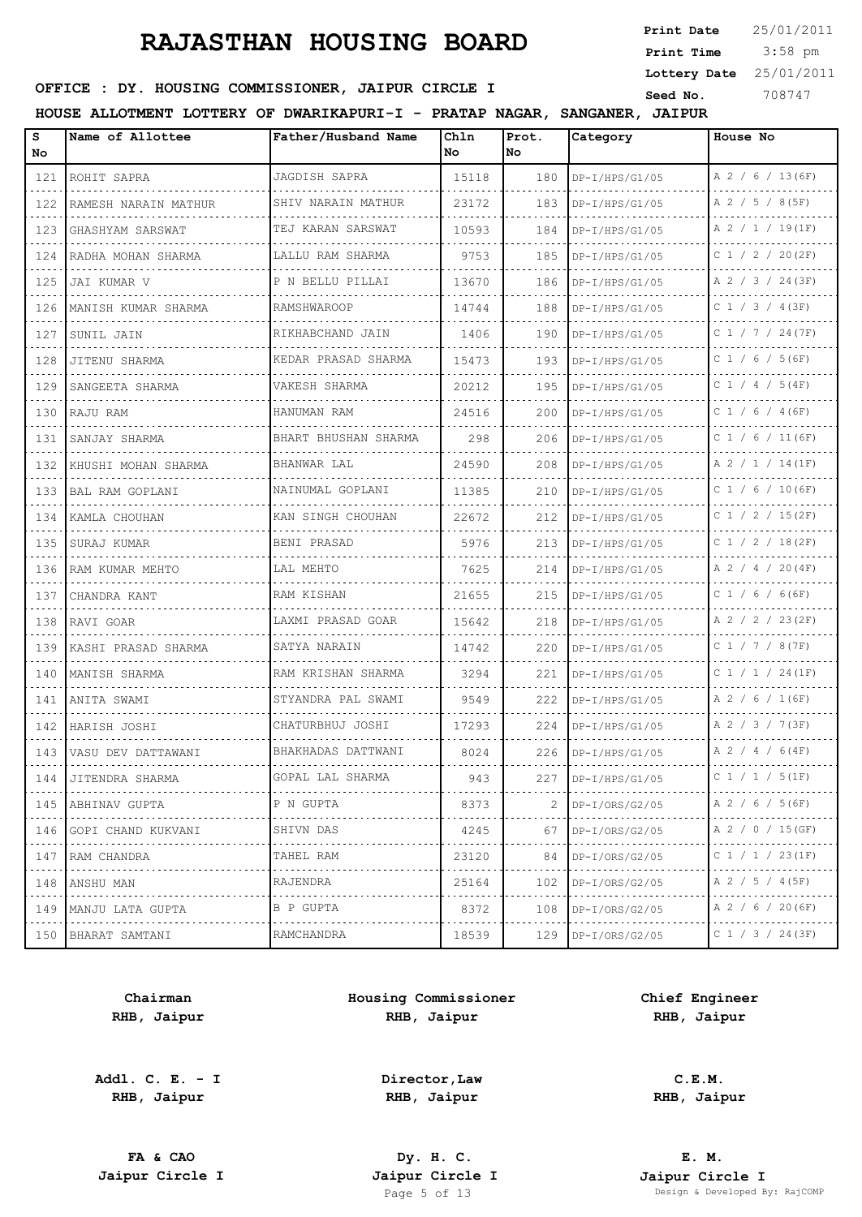3:58 pm **Print Date Print Time Lottery Date** 25/01/2011

## **SEED OFFICE : DY. HOUSING COMMISSIONER, JAIPUR CIRCLE I** Seed No. 308747

**HOUSE ALLOTMENT LOTTERY OF DWARIKAPURI-I - PRATAP NAGAR, SANGANER, JAIPUR**

| s<br>No.                    | Name of Allottee         | Father/Husband Name     | Chln<br>No | Prot.<br>No. | Category                | House No              |
|-----------------------------|--------------------------|-------------------------|------------|--------------|-------------------------|-----------------------|
| 121                         | ROHIT SAPRA              | JAGDISH SAPRA           | 15118      | 180          | $DP-I/HPS/G1/05$        | A 2 / 6 / 13 (6F)     |
| 122                         | RAMESH NARAIN MATHUR     | SHIV NARAIN MATHUR      | 23172      | 183          | $DP-I/HPS/G1/05$        | A 2 / 5 / 8 (5F)      |
| 123                         | GHASHYAM SARSWAT         | TEJ KARAN SARSWAT       | 10593      | 184          | $DP-I/HPS/G1/05$        | A 2 / 1 / 19(1F)      |
| 124                         | RADHA MOHAN SHARMA       | LALLU RAM SHARMA        | 9753       | 185          | $DP-I/HPS/G1/05$        | $C$ 1 / 2 / 20(2F)    |
| 125                         | JAI KUMAR V              | P N BELLU PILLAI        | 13670      | 186          | $DP-I/HPS/G1/05$        | A 2 / 3 / 24(3F)      |
| 126                         | MANISH KUMAR SHARMA      | RAMSHWAROOP             | 14744      | 188          | $DP-I/HPS/G1/05$        | $C$ 1 / 3 / 4 (3F)    |
| 127                         | SUNIL JAIN               | RIKHABCHAND JAIN        | 1406       | 190          | $DP-I/HPS/G1/05$        | C 1 / 7 / 24 (7F)     |
| 128                         | JITENU SHARMA            | KEDAR PRASAD SHARMA     | 15473      | 193          | $DP-I/HPS/G1/05$        | $C$ 1 / 6 / 5 (6F)    |
| 129                         | SANGEETA SHARMA          | VAKESH SHARMA           | 20212      | 195          | $DP-I/HPS/G1/05$        | C 1 / 4 / 5 (4F)      |
| 130                         | RAJU RAM                 | HANUMAN RAM             | 24516      | 200          | $DP-I/HPS/G1/05$        | $C$ 1 / 6 / 4 (6F)    |
| 131                         | SANJAY SHARMA            | BHART BHUSHAN SHARMA    | 298        | 206          | $DP-I/HPS/G1/05$        | $C$ 1 / 6 / 11 (6F)   |
| 132                         | KHUSHI MOHAN SHARMA      | BHANWAR LAL             | 24590      | 208          | $DP-I/HPS/G1/05$        | A 2 / 1 / 14(1F)      |
| 133                         | <b>BAL RAM GOPLANI</b>   | NAINUMAL GOPLANI        | 11385      | 210          | $DP-I/HPS/G1/05$        | $C$ 1 / 6 / 10(6F)    |
| 134                         | KAMLA CHOUHAN            | KAN SINGH CHOUHAN       | 22672      | 212          | $DP-I/HPS/G1/05$        | $C$ 1 / 2 / 15(2F)    |
| 135                         | SURAJ KUMAR              | BENI PRASAD             | 5976       | 213          | .<br>$DP-I/HPS/G1/05$   | C $1 / 2 / 18 (2F)$   |
| 136                         | RAM KUMAR MEHTO          | LAL MEHTO<br>.          | 7625       | 214          | $DP-I/HPS/G1/05$        | A 2 / 4 / 20(4F)      |
| 137                         | CHANDRA KANT             | RAM KISHAN              | 21655      | 215          | $DP-I/HPS/G1/05$        | C 1 / 6 / 6 (6F)      |
| 138                         | RAVI GOAR                | LAXMI PRASAD GOAR       | 15642      | 218          | $DP-I/HPS/G1/05$        | A 2 / 2 / 23(2F)      |
| 139                         | KASHI PRASAD SHARMA      | SATYA NARAIN            | 14742      | 220          | $DP-I/HPS/G1/05$        | C 1 / 7 / 8 (7F)      |
| 140                         | MANISH SHARMA            | RAM KRISHAN SHARMA<br>. | 3294       | 221          | $DP-I/HPS/G1/05$        | $C$ 1 / 1 / 24 (1F)   |
| 141                         | ANITA SWAMI              | STYANDRA PAL SWAMI      | 9549       | 222          | $DP-I/HPS/G1/05$        | A 2 / 6 / 1 (6F)      |
| 142                         | HARISH JOSHI             | CHATURBHUJ JOSHI<br>.   | 17293      | 224          | DP-I/HPS/G1/05          | A 2 / 3 / 7(3F)       |
| 143                         | VASU DEV DATTAWANI       | BHAKHADAS DATTWANI      | 8024       | 226          | DP-I/HPS/G1/05          | $A$ 2 / 4 / 6(4F)     |
| $\sim$ $\sim$ $\sim$ $\sim$ | 144   JITENDRA SHARMA    | GOPAL LAL SHARMA        | 943        |              | 227   DP-I/HPS/G1/05    | C 1 / 1 / 5 (1F)      |
|                             | 145   ABHINAV GUPTA<br>. | P N GUPTA<br>.          | 8373       |              | $\text{DP-I/ORS/G2}/05$ | A 2 / 6 / 5 (6F)      |
| .<br>146<br>.               | GOPI CHAND KUKVANI       | SHIVN DAS               | 4245       | 67           | $DP-I/ORS/G2/05$        | A 2 / 0 / 15 (GF)     |
| 147<br>.                    | RAM CHANDRA              | TAHEL RAM<br>.          | 23120      | 84           | $DP-I/ORS/G2/05$        | C 1 / 1 / 23(1F)<br>. |
| 148                         | ANSHU MAN                | RAJENDRA                | 25164      | 102          | $DP-I/ORS/G2/05$        | A 2 / 5 / 4 (5F)      |
| .<br>.                      | 149   MANJU LATA GUPTA   | B P GUPTA<br>.          | 8372       | 108          | $DP-I/ORS/G2/05$        | A 2 / 6 / 20 (6F)     |
|                             | 150 BHARAT SAMTANI       | RAMCHANDRA              | 18539      | 129          | $DP-I/ORS/G2/05$        | C 1 / 3 / 24 (3F)     |

**Chairman RHB, Jaipur**

**Addl. C. E. - I RHB, Jaipur**

**Housing Commissioner RHB, Jaipur**

**Chief Engineer RHB, Jaipur**

**Director,Law RHB, Jaipur**

**FA & CAO Dy. H. C.**

**C.E.M. RHB, Jaipur**

**E. M. Jaipur Circle I Jaipur Circle I Jaipur Circle I Jaipur Circle I Jaipur Circle I Page 5 of 13 Design & Developed B** Design & Developed By: RajCOMP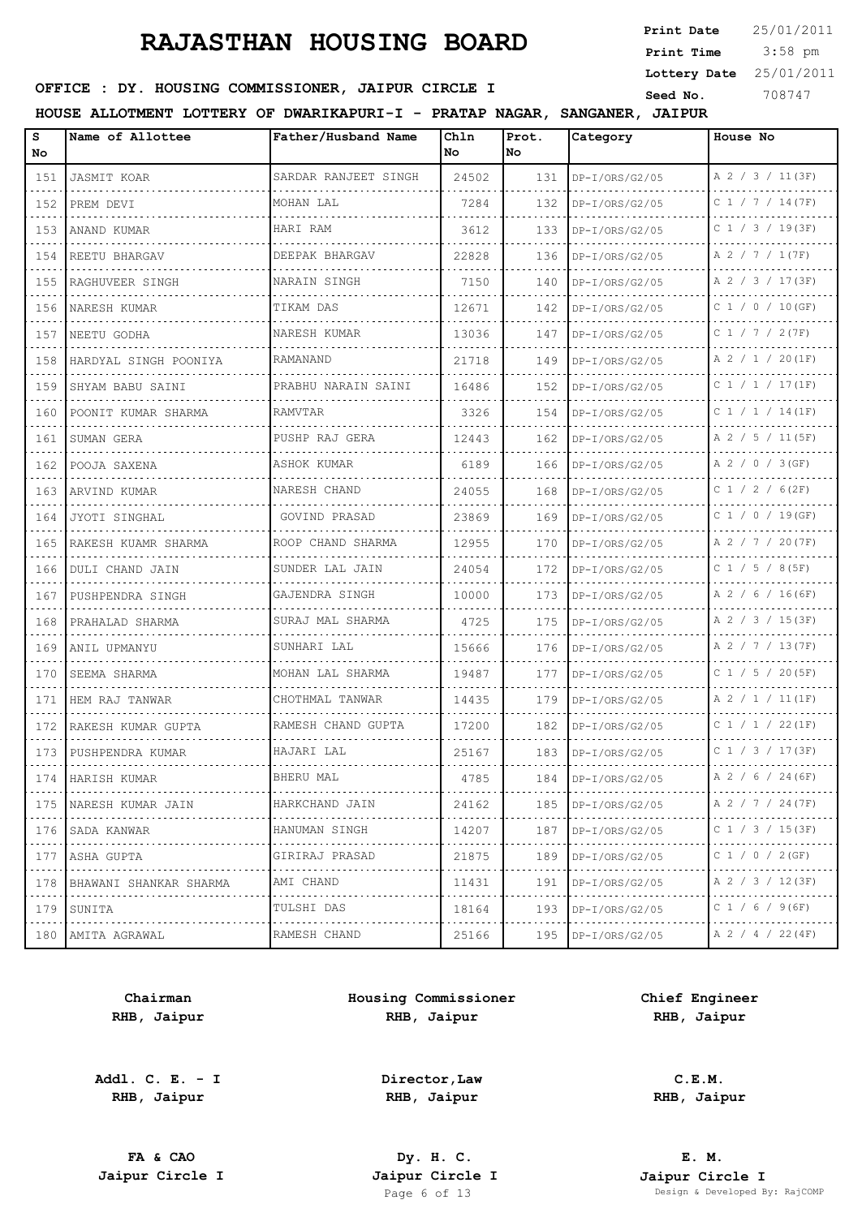3:58 pm **Print Date Print Time Lottery Date** 25/01/2011

## **SEED OFFICE : DY. HOUSING COMMISSIONER, JAIPUR CIRCLE I** Seed No. 308747

**HOUSE ALLOTMENT LOTTERY OF DWARIKAPURI-I - PRATAP NAGAR, SANGANER, JAIPUR**

| s<br>No                                   | Name of Allottee        | Father/Husband Name                | Chln<br>No. | Prot.<br>No. | Category            | House No              |
|-------------------------------------------|-------------------------|------------------------------------|-------------|--------------|---------------------|-----------------------|
| 151                                       | <b>JASMIT KOAR</b>      | SARDAR RANJEET SINGH               | 24502       | 131          | DP-I/ORS/G2/05      | A 2 / 3 / 11(3F)      |
| 152                                       | PREM DEVI               | MOHAN LAL                          | 7284        | 132          | $DP-I/ORS/G2/05$    | $C$ 1 / 7 / 14(7F)    |
| 153                                       | ANAND KUMAR             | HARI RAM                           | 3612        | 133          | DP-I/ORS/G2/05      | $C$ 1 / 3 / 19(3F)    |
| 154                                       | REETU BHARGAV           | DEEPAK BHARGAV                     | 22828       | 136          | DP-I/ORS/G2/05      | A 2 / 7 / 1 (7F)      |
| 155                                       | .<br>RAGHUVEER SINGH    | NARAIN SINGH                       | 7150        | 140          | DP-I/ORS/G2/05      | A 2 / 3 / 17(3F)      |
| 156                                       | NARESH KUMAR            | TIKAM DAS                          | 12671       | 142          | DP-I/ORS/G2/05      | C 1 / 0 / 10 (GF)     |
| 157                                       | NEETU GODHA             | NARESH KUMAR                       | 13036       | 147          | DP-I/ORS/G2/05      | C 1 / 7 / 2 (7F)      |
| 158                                       | HARDYAL SINGH POONIYA   | RAMANAND                           | 21718       | 149          | DP-I/ORS/G2/05      | A 2 / 1 / 20(1F)      |
| 159                                       | SHYAM BABU SAINI        | PRABHU NARAIN SAINI                | 16486       | 152          | $DP-I/ORS/G2/05$    | $C$ 1 / 1 / 17(1F)    |
| 160                                       | POONIT KUMAR SHARMA     | RAMVTAR                            | 3326        | 154          | $DP-I/ORS/G2/05$    | $C$ 1 / 1 / 14 (1F)   |
| 161                                       | SUMAN GERA              | PUSHP RAJ GERA                     | 12443       | 162          | DP-I/ORS/G2/05      | A 2 / 5 / 11 (5F)     |
| 162                                       | POOJA SAXENA            | ASHOK KUMAR                        | 6189        | 166          | DP-I/ORS/G2/05<br>. | A 2 / 0 / 3 (GF)      |
| 163                                       | ARVIND KUMAR            | NARESH CHAND                       | 24055       | 168          | DP-I/ORS/G2/05      | $C$ 1 / 2 / 6(2F)     |
| 164                                       | JYOTI SINGHAL           | GOVIND PRASAD<br>.                 | 23869       | 169          | DP-I/ORS/G2/05      | $C$ 1 / 0 / 19(GF)    |
| 165                                       | RAKESH KUAMR SHARMA     | ROOP CHAND SHARMA                  | 12955       | 170          | DP-I/ORS/G2/05      | A 2 / 7 / 20(7F)      |
| 166                                       | DULI CHAND JAIN         | SUNDER LAL JAIN                    | 24054       | 172          | DP-I/ORS/G2/05      | $C$ 1 / 5 / 8(5F)     |
| 167                                       | PUSHPENDRA SINGH        | GAJENDRA SINGH                     | 10000       | 173          | DP-I/ORS/G2/05      | A 2 / 6 / 16(6F)      |
| 168                                       | PRAHALAD SHARMA         | SURAJ MAL SHARMA                   | 4725        | 175          | DP-I/ORS/G2/05      | A 2 / 3 / 15(3F)      |
| 169                                       | ANIL UPMANYU            | SUNHARI LAL                        | 15666       | 176          | DP-I/ORS/G2/05      | A 2 / 7 / 13(7F)      |
| 170                                       | SEEMA SHARMA            | MOHAN LAL SHARMA<br>.              | 19487       | 177          | DP-I/ORS/G2/05      | $C$ 1 / 5 / 20(5F)    |
| 171                                       | HEM RAJ TANWAR          | CHOTHMAL TANWAR                    | 14435       | 179          | DP-I/ORS/G2/05      | A 2 / 1 / 11 (1F)     |
| 172                                       | RAKESH KUMAR GUPTA<br>. | RAMESH CHAND GUPTA                 | 17200       | 182          | DP-I/ORS/G2/05      | C 1 / 1 / 22 (1F)     |
| 173                                       | PUSHPENDRA KUMAR        | HAJARI LAL                         | 25167       | 183          | DP-I/ORS/G2/05      | C 1 / 3 / 17 (3F)     |
| 174                                       | HARISH KUMAR            | BHERU MAL                          | 4785        | 184          | $DP-I/ORS/G2/05$    | A 2 / 6 / 24 (6F)     |
| 175<br>$\sim$ $\sim$ $\sim$ $\sim$ $\sim$ | NARESH KUMAR JAIN<br>.  | HARKCHAND JAIN<br>.                | 24162       | 185          | $DP-I/ORS/G2/05$    | A 2 / 7 / 24 (7F)     |
| 176<br>$\cdots$                           | SADA KANWAR             | HANUMAN SINGH                      | 14207       | 187          | $DP-I/ORS/G2/05$    | C 1 / 3 / 15 (3F)     |
| 177<br>$- - - - -$                        | ASHA GUPTA<br>.         | GIRIRAJ PRASAD<br>.                | 21875       | 189          | $DP-I/ORS/G2/05$    | C 1 / 0 / 2 (GF)<br>. |
| 178                                       | BHAWANI SHANKAR SHARMA  | AMI CHAND                          | 11431       | 191          | $DP-I/ORS/G2/05$    | A 2 / 3 / 12(3F)      |
| 179                                       | SUNITA                  | TULSHI DAS<br>$-2 - 2 - 2 - 2 - 2$ | 18164       | 193          | $DP-I/ORS/G2/05$    | C 1 / 6 / 9 (6F)      |
| 180                                       | AMITA AGRAWAL           | RAMESH CHAND                       | 25166       | 195          | $DP-I/ORS/G2/05$    | A 2 / 4 / 22 (4F)     |

**Chairman RHB, Jaipur**

**Addl. C. E. - I RHB, Jaipur**

**Housing Commissioner RHB, Jaipur**

> **Director,Law RHB, Jaipur**

**Chief Engineer RHB, Jaipur**

**C.E.M. RHB, Jaipur**

**FA & CAO Dy. H. C.**

**E. M. Jaipur Circle I Jaipur Circle I Jaipur Circle I Jaipur Circle I Jaipur Circle I Page 6 of 13 Design & Developed B** Design & Developed By: RajCOMP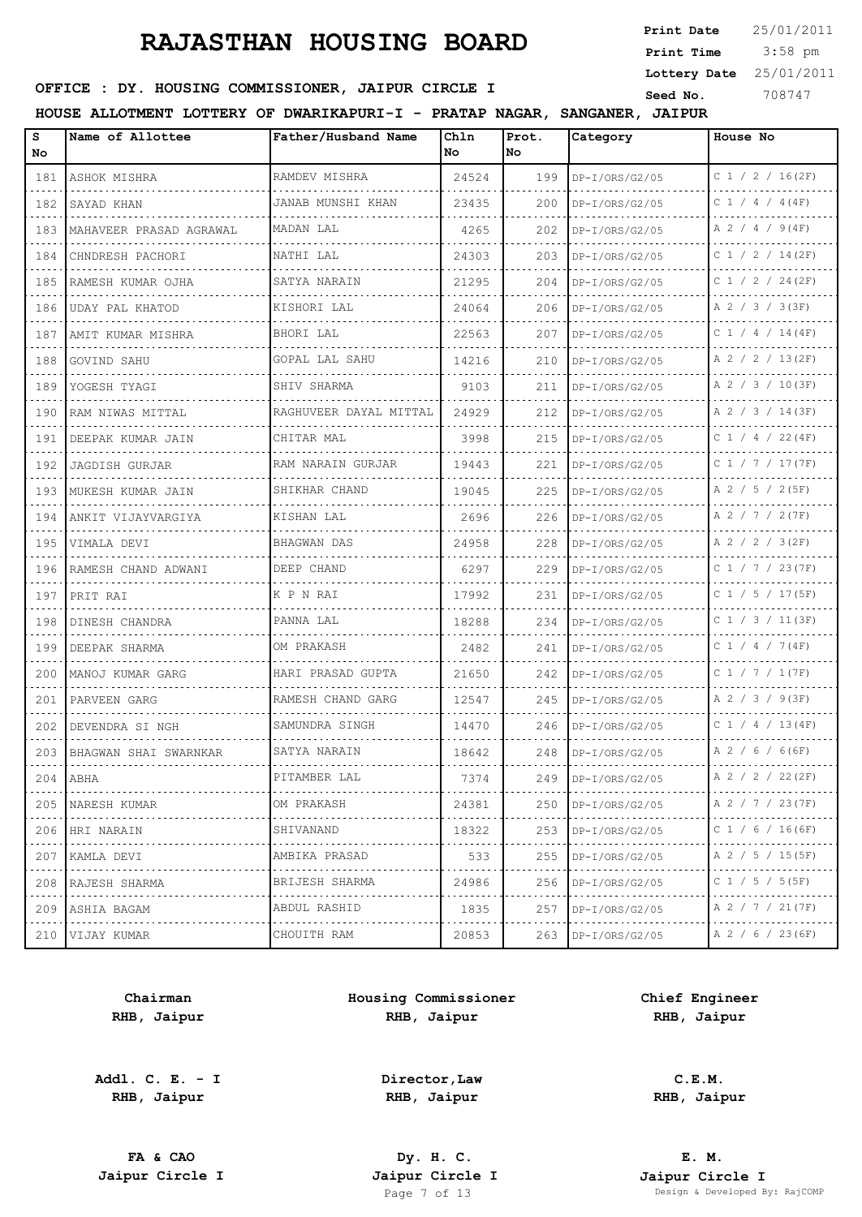3:58 pm **Print Date**  $25/01/2011$ **Print Time Lottery Date** 25/01/2011

#### **SEED OFFICE : DY. HOUSING COMMISSIONER, JAIPUR CIRCLE I** Seed No. 308747

**HOUSE ALLOTMENT LOTTERY OF DWARIKAPURI-I - PRATAP NAGAR, SANGANER, JAIPUR**

| s<br>No. | Name of Allottee        | Father/Husband Name     | Chln<br>No | Prot.<br>No. | Category              | House No            |
|----------|-------------------------|-------------------------|------------|--------------|-----------------------|---------------------|
| 181      | ASHOK MISHRA            | RAMDEV MISHRA           | 24524      | 199          | DP-I/ORS/G2/05        | C 1 / 2 / 16(2F)    |
| 182      | SAYAD KHAN              | JANAB MUNSHI KHAN       | 23435      | 200          | $DP-I/ORS/G2/05$      | $C$ 1 / 4 / 4 (4F)  |
| 183      | MAHAVEER PRASAD AGRAWAL | MADAN LAL               | 4265       | 202          | $DP-I/ORS/G2/05$      | $A$ 2 / 4 / 9(4F)   |
| 184      | CHNDRESH PACHORI        | NATHI LAL               | 24303      | 203          | $DP-I/ORS/G2/05$      | C 1 / 2 / 14(2F)    |
| 185      | RAMESH KUMAR OJHA       | SATYA NARAIN            | 21295      | 204          | $DP-I/ORS/G2/05$      | C 1 / 2 / 24(2F)    |
| 186      | UDAY PAL KHATOD         | KISHORI LAL             | 24064      | 206          | $DP-I/ORS/G2/05$      | A 2 / 3 / 3 (3F)    |
| 187      | AMIT KUMAR MISHRA       | .<br>BHORI LAL          | 22563      | 207          | $DP-I/ORS/G2/05$      | $C$ 1 / 4 / 14(4F)  |
| 188      | GOVIND SAHU             | GOPAL LAL SAHU          | 14216      | 210          | $DP-I/ORS/G2/05$      | A 2 / 2 / 13(2F)    |
| .<br>189 | .<br>YOGESH TYAGI       | SHIV SHARMA             | 9103       | 211          | .<br>$DP-I/ORS/G2/05$ | A 2 / 3 / 10(3F)    |
| 190      | RAM NIWAS MITTAL        | RAGHUVEER DAYAL MITTAL  | 24929      | 212          | $DP-I/ORS/G2/05$      | A 2 / 3 / 14(3F)    |
| 191      | DEEPAK KUMAR JAIN       | CHITAR MAL              | 3998       | 215          | $DP-I/ORS/G2/05$      | C 1 / 4 / 22 (4F)   |
| 192      | JAGDISH GURJAR          | RAM NARAIN GURJAR       | 19443      | 221          | DP-I/ORS/G2/05        | $C$ 1 / 7 / 17 (7F) |
| .<br>193 | MUKESH KUMAR JAIN       | SHIKHAR CHAND           | 19045      | 225          | $DP-I/ORS/G2/05$      | A 2 / 5 / 2(5F)     |
| 194      | ANKIT VIJAYVARGIYA      | KISHAN LAL              | 2696       | 226          | $DP-I/ORS/G2/05$      | A 2 / 7 / 2 (7F)    |
| 195      | VIMALA DEVI             | .<br><b>BHAGWAN DAS</b> | 24958      | 228          | DP-I/ORS/G2/05        | A 2 / 2 / 3(2F)     |
| 196      | RAMESH CHAND ADWANI     | DEEP CHAND<br><u>.</u>  | 6297       | 229          | $DP-I/ORS/G2/05$      | C 1 / 7 / 23(7F)    |
| 197      | PRIT RAI                | K P N RAI               | 17992      | 231          | DP-I/ORS/G2/05        | C 1 / 5 / 17 (5F)   |
| 198      | DINESH CHANDRA          | PANNA LAL               | 18288      | 234          | $DP-I/ORS/G2/05$      | C 1 / 3 / 11 (3F)   |
| 199      | DEEPAK SHARMA           | OM PRAKASH              | 2482       | 241          | DP-I/ORS/G2/05        | C 1 / 4 / 7 (4F)    |
| 200      | MANOJ KUMAR GARG        | HARI PRASAD GUPTA       | 21650      | 242          | $DP-I/ORS/G2/05$      | C 1 / 7 / 1 (7F)    |
| 201      | PARVEEN GARG            | RAMESH CHAND GARG       | 12547      | 245          | DP-I/ORS/G2/05        | A 2 / 3 / 9(3F)     |
| 202      | DEVENDRA SI NGH         | SAMUNDRA SINGH          | 14470      | 246          | DP-I/ORS/G2/05        | $C$ 1 / 4 / 13(4F)  |
| 203      | BHAGWAN SHAI SWARNKAR   | SATYA NARAIN            | 18642      | 248          | DP-I/ORS/G2/05        | A 2 / 6 / 6 (6F)    |
|          | $204$   ABHA            | PITAMBER LAL            | 7374       | 249          | DP-I/ORS/G2/05        | A 2 / 2 / 22(2F)    |
| .        | 205 NARESH KUMAR        | OM PRAKASH              | 24381      | 250          | $DP-I/ORS/G2/05$      | A 2 / 7 / 23(7F)    |
| 206<br>. | HRI NARAIN              | SHIVANAND               | 18322      | 253          | $DP-I/ORS/G2/05$      | C 1 / 6 / 16 (6F)   |
| .        | 207 KAMLA DEVI          | AMBIKA PRASAD<br>.      | 533        | 255          | $DP-I/ORS/G2/05$      | A 2 / 5 / 15 (5F)   |
| 208      | RAJESH SHARMA           | BRIJESH SHARMA          | 24986      | 256          | DP-I/ORS/G2/05        | C 1 / 5 / 5 (5F)    |
|          | 209   ASHIA BAGAM       | ABDUL RASHID<br>.       | 1835       | 257          | $DP-I/ORS/G2/05$      | A 2 / 7 / 21 (7F)   |
|          | 210 VIJAY KUMAR         | CHOUITH RAM             | 20853      | 263          | DP-I/ORS/G2/05        | A 2 / 6 / 23 (6F)   |

**Chairman RHB, Jaipur**

**Addl. C. E. - I RHB, Jaipur**

**Housing Commissioner RHB, Jaipur**

> **Director,Law RHB, Jaipur**

**Chief Engineer RHB, Jaipur**

> **C.E.M. RHB, Jaipur**

**FA & CAO Dy. H. C.**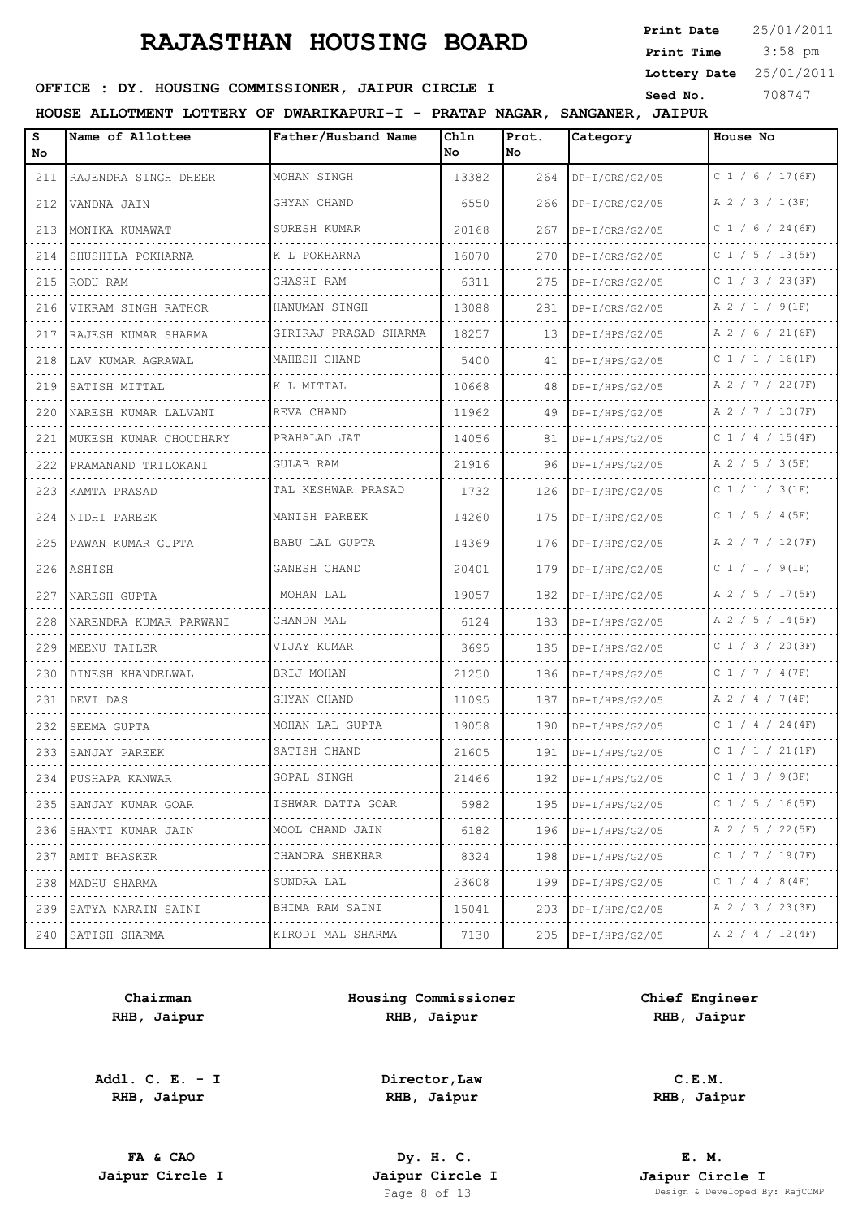3:58 pm **Print Date**  $25/01/2011$ **Print Time Lottery Date** 25/01/2011

## **SEED OFFICE : DY. HOUSING COMMISSIONER, JAIPUR CIRCLE I** Seed No. 308747

**HOUSE ALLOTMENT LOTTERY OF DWARIKAPURI-I - PRATAP NAGAR, SANGANER, JAIPUR**

| s<br>No.                           | Name of Allottee         | Father/Husband Name   | Chln<br>No | Prot.<br>No | Category             | House No            |
|------------------------------------|--------------------------|-----------------------|------------|-------------|----------------------|---------------------|
| 211                                | RAJENDRA SINGH DHEER     | MOHAN SINGH           | 13382      | 264         | DP-I/ORS/G2/05       | $C$ 1 / 6 / 17 (6F) |
| 212                                | VANDNA JAIN              | GHYAN CHAND           | 6550       | 266         | $DP-I/ORS/G2/05$     | A 2 / 3 / 1(3F)     |
| الداعات الداري<br>213              | MONIKA KUMAWAT           | SURESH KUMAR          | 20168      | 267         | DP-I/ORS/G2/05       | C $1 / 6 / 24 (6F)$ |
| 214                                | SHUSHILA POKHARNA        | K L POKHARNA          | 16070      | 270         | $DP-I/ORS/G2/05$     | C $1 / 5 / 13 (5F)$ |
| $\sim$ $\sim$ $\sim$ $\sim$<br>215 | RODU RAM                 | GHASHI RAM            | 6311       | 275         | DP-I/ORS/G2/05       | C 1 / 3 / 23 (3F)   |
| 216                                | VIKRAM SINGH RATHOR      | HANUMAN SINGH         | 13088      | 281         | $DP-I/ORS/G2/05$     | A 2 / 1 / 9(1F)     |
| $-1 - 1 - 1$<br>217                | RAJESH KUMAR SHARMA      | GIRIRAJ PRASAD SHARMA | 18257      | 13          | $DP-I/HPS/G2/05$     | A 2 / 6 / 21 (6F)   |
| 218                                | LAV KUMAR AGRAWAL        | MAHESH CHAND<br>.     | 5400       | 41          | $DP-I/HPS/G2/05$     | $C$ 1 / 1 / 16(1F)  |
| 219                                | SATISH MITTAL            | K L MITTAL            | 10668      | 48          | $DP-I/HPS/G2/05$     | A 2 / 7 / 22(7F)    |
| 220                                | NARESH KUMAR LALVANI     | REVA CHAND<br>.       | 11962      | 49          | DP-I/HPS/G2/05       | A 2 / 7 / 10 (7F)   |
| 221                                | MUKESH KUMAR CHOUDHARY   | PRAHALAD JAT          | 14056      | 81          | $DP-I/HPS/G2/05$     | $C$ 1 / 4 / 15(4F)  |
| 222                                | PRAMANAND TRILOKANI      | <b>GULAB RAM</b>      | 21916      | 96          | $DP-I/HPS/G2/05$     | A 2 / 5 / 3 (5F)    |
| 223                                | KAMTA PRASAD             | TAL KESHWAR PRASAD    | 1732       | 126         | $DP-I/HPS/G2/05$     | C 1 / 1 / 3 (1F)    |
| 224                                | NIDHI PAREEK             | MANISH PAREEK         | 14260      | 175         | $DP-I/HPS/G2/05$     | $C$ 1 / 5 / 4 (5F)  |
| 225                                | PAWAN KUMAR GUPTA        | BABU LAL GUPTA        | 14369      | 176         | $DP-I/HPS/G2/05$     | A 2 / 7 / 12(7F)    |
| 226                                | ASHISH                   | GANESH CHAND          | 20401      | 179         | $DP-I/HPS/G2/05$     | C 1 / 1 / 9(1F)     |
| 227                                | NARESH GUPTA             | MOHAN LAL             | 19057      | 182         | DP-I/HPS/G2/05       | A 2 / 5 / 17(5F)    |
| 228                                | NARENDRA KUMAR PARWANI   | CHANDN MAL            | 6124       | 183         | $DP-I/HPS/G2/05$     | A 2 / 5 / 14 (5F)   |
| 229                                | MEENU TAILER             | VIJAY KUMAR           | 3695       | 185         | $DP-I/HPS/G2/05$     | C 1 / 3 / 20(3F)    |
| 230                                | DINESH KHANDELWAL        | BRIJ MOHAN            | 21250      | 186         | $DP-I/HPS/G2/05$     | C 1 / 7 / 4 (7F)    |
| 231                                | DEVI DAS                 | GHYAN CHAND           | 11095      | 187         | $DP-I/HPS/G2/05$     | A 2 / 4 / 7 (4F)    |
| 232                                | SEEMA GUPTA              | MOHAN LAL GUPTA       | 19058      | 190         | $DP-I/HPS/G2/05$     | $C$ 1 / 4 / 24(4F)  |
| 233                                | SANJAY PAREEK            | SATISH CHAND          | 21605      | 191         | $DP-I/HPS/G2/05$     | C 1 / 1 / 21 (1F)   |
|                                    | 234  PUSHAPA KANWAR      | GOPAL SINGH           | 21466      | 192         | $DP-I/HPS/G2/05$     | C 1 / 3 / 9(3F)     |
|                                    | 235 SANJAY KUMAR GOAR    | ISHWAR DATTA GOAR     | 5982       |             | 195   DP-I/HPS/G2/05 | C 1 / 5 / 16 (5F)   |
| .                                  | 236 SHANTI KUMAR JAIN    | .<br>MOOL CHAND JAIN  | 6182       | 196         | $DP-I/HPS/G2/05$     | A 2 / 5 / 22 (5F)   |
|                                    | 237 AMIT BHASKER         | CHANDRA SHEKHAR<br>.  | 8324       | 198         | $DP-I/HPS/G2/05$     | C 1 / 7 / 19(7F)    |
|                                    | 238   MADHU SHARMA       | SUNDRA LAL            | 23608      | 199         | $DP-I/HPS/G2/05$     | C 1 / 4 / 8 (4F)    |
|                                    | 239   SATYA NARAIN SAINI | BHIMA RAM SAINI<br>.  | 15041      | 203         | $DP-I/HPS/G2/05$     | A 2 / 3 / 23(3F)    |
|                                    | 240 SATISH SHARMA        | KIRODI MAL SHARMA     | 7130       |             | 205   DP-I/HPS/G2/05 | A 2 / 4 / 12(4F)    |

**Chairman RHB, Jaipur**

**Addl. C. E. - I RHB, Jaipur**

**Housing Commissioner RHB, Jaipur**

**Chief Engineer RHB, Jaipur**

**Director,Law RHB, Jaipur**

**FA & CAO Dy. H. C.**

**C.E.M. RHB, Jaipur**

**E. M. Jaipur Circle I Jaipur Circle I Jaipur Circle I Jaipur Circle I Jaipur Circle I Page 8 of 13 Design & Developed B** Design & Developed By: RajCOMP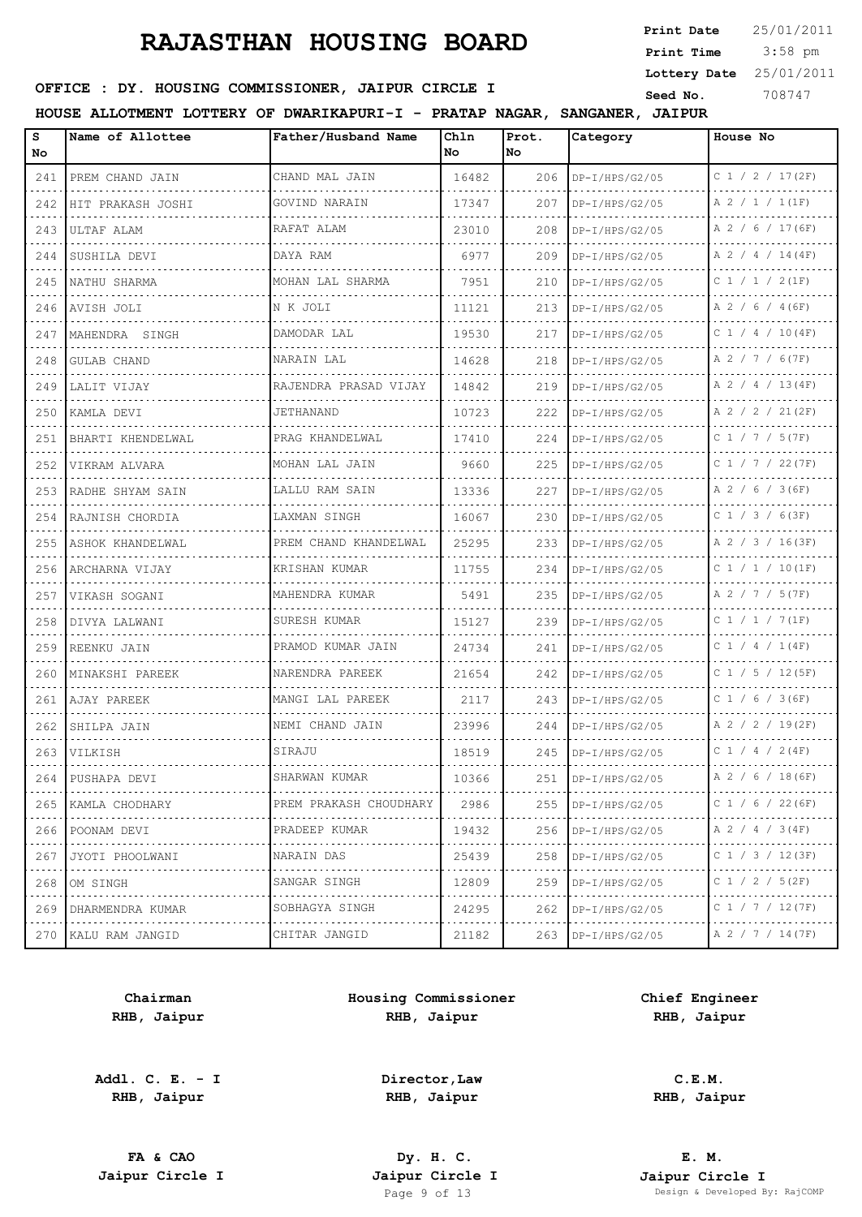3:58 pm **Print Date**  $25/01/2011$ **Print Time Lottery Date** 25/01/2011

#### **SEED OFFICE : DY. HOUSING COMMISSIONER, JAIPUR CIRCLE I** Seed No. 308747

**HOUSE ALLOTMENT LOTTERY OF DWARIKAPURI-I - PRATAP NAGAR, SANGANER, JAIPUR**

| S<br>No.                                                                                                                                             | Name of Allottee    | Father/Husband Name       | Chln<br>No | Prot.<br>No. | Category         | House No               |
|------------------------------------------------------------------------------------------------------------------------------------------------------|---------------------|---------------------------|------------|--------------|------------------|------------------------|
| 241                                                                                                                                                  | PREM CHAND JAIN     | CHAND MAL JAIN<br>.       | 16482      | 206          | $DP-I/HPS/G2/05$ | C 1 / 2 / 17(2F)       |
| 242                                                                                                                                                  | HIT PRAKASH JOSHI   | GOVIND NARAIN<br><u>.</u> | 17347      | 207          | DP-I/HPS/G2/05   | A 2 / 1 / 1(1F)        |
| 243                                                                                                                                                  | ULTAF ALAM          | RAFAT ALAM                | 23010      | 208          | DP-I/HPS/G2/05   | A 2 / 6 / 17 (6F)      |
| 244                                                                                                                                                  | SUSHILA DEVI        | DAYA RAM                  | 6977       | 209          | $DP-I/HPS/G2/05$ | $A$ 2 / 4 / 14(4F)     |
| 245                                                                                                                                                  | NATHU SHARMA        | MOHAN LAL SHARMA<br>.     | 7951       | 210          | DP-I/HPS/G2/05   | C 1 / 1 / 2 (1F)       |
| 246                                                                                                                                                  | AVISH JOLI          | N K JOLI                  | 11121      | 213          | $DP-I/HPS/G2/05$ | A 2 / 6 / 4 (6F)       |
| 247                                                                                                                                                  | MAHENDRA SINGH      | DAMODAR LAL               | 19530      | 217          | $DP-I/HPS/G2/05$ | $C$ 1 / 4 / 10(4F)     |
| 248                                                                                                                                                  | GULAB CHAND         | NARAIN LAL                | 14628      | 218          | $DP-I/HPS/G2/05$ | A 2 / 7 / 6(7F)        |
| 249                                                                                                                                                  | LALIT VIJAY         | RAJENDRA PRASAD VIJAY     | 14842      | 219          | $DP-I/HPS/G2/05$ | A 2 / 4 / 13(4F)       |
| 250                                                                                                                                                  | KAMLA DEVI          | JETHANAND                 | 10723      | 222          | $DP-I/HPS/G2/05$ | A 2 / 2 / 21(2F)       |
| 251                                                                                                                                                  | BHARTI KHENDELWAL   | PRAG KHANDELWAL           | 17410      | 224          | $DP-I/HPS/G2/05$ | C 1 / 7 / 5 (7F)       |
| 252                                                                                                                                                  | VIKRAM ALVARA       | MOHAN LAL JAIN<br>.       | 9660       | 225          | $DP-I/HPS/G2/05$ | $C$ 1 / 7 / 22(7F)     |
| 253                                                                                                                                                  | RADHE SHYAM SAIN    | LALLU RAM SAIN            | 13336      | 227          | DP-I/HPS/G2/05   | A 2 / 6 / 3 (6F)       |
| 254                                                                                                                                                  | RAJNISH CHORDIA     | LAXMAN SINGH              | 16067      | 230          | DP-I/HPS/G2/05   | $C$ 1 / 3 / 6(3F)      |
| 255                                                                                                                                                  | ASHOK KHANDELWAL    | PREM CHAND KHANDELWAL     | 25295      | 233          | $DP-I/HPS/G2/05$ | A 2 / 3 / 16(3F)       |
| 256                                                                                                                                                  | ARCHARNA VIJAY      | KRISHAN KUMAR<br>.        | 11755      | 234          | $DP-I/HPS/G2/05$ | $C$ 1 / 1 / 10(1F)     |
| 257                                                                                                                                                  | VIKASH SOGANI       | MAHENDRA KUMAR            | 5491       | 235          | $DP-I/HPS/G2/05$ | A 2 / 7 / 5 (7F)       |
| 258                                                                                                                                                  | DIVYA LALWANI       | SURESH KUMAR              | 15127      | 239          | $DP-I/HPS/G2/05$ | $C$ 1 / 1 / 7(1F)      |
| 259                                                                                                                                                  | REENKU JAIN         | PRAMOD KUMAR JAIN         | 24734      | 241          | $DP-I/HPS/G2/05$ | C 1 / 4 / 1(4F)        |
| 260                                                                                                                                                  | MINAKSHI PAREEK     | NARENDRA PAREEK           | 21654      | 242          | $DP-I/HPS/G2/05$ | C $1 / 5 / 12 (5F)$    |
| 261                                                                                                                                                  | AJAY PAREEK         | MANGI LAL PAREEK          | 2117       | 243          | $DP-I/HPS/G2/05$ | $C$ 1 / 6 / 3 (6F)     |
| 262                                                                                                                                                  | SHILPA JAIN         | NEMI CHAND JAIN<br>.      | 23996      | 244          | $DP-I/HPS/G2/05$ | A 2 / 2 / 19(2F)       |
|                                                                                                                                                      | 263 IVILKISH        | SIRAJU                    | 18519      | 245          | $DP-I/HPS/G2/05$ | C 1 / 4 / 2 (4F)       |
| 264                                                                                                                                                  | PUSHAPA DEVI        | SHARWAN KUMAR             | 10366      | 251          | $DP-I/HPS/G2/05$ | A 2 / 6 / 18 (6F)      |
| 265                                                                                                                                                  | KAMLA CHODHARY      | PREM PRAKASH CHOUDHARY    | 2986       | 255          | $DP-I/HPS/G2/05$ | C $1 / 6 / 22 (6F)$    |
| .<br>266                                                                                                                                             | POONAM DEVI         | PRADEEP KUMAR             | 19432      | 256          | $DP-I/HPS/G2/05$ | $A$ 2 / 4 / 3(4F)      |
| .<br>267                                                                                                                                             | JYOTI PHOOLWANI     | .<br>NARAIN DAS           | 25439      | 258          | $DP-I/HPS/G2/05$ | C 1 / 3 / 12 (3F)<br>. |
| .<br>268                                                                                                                                             | OM SINGH            | .<br>SANGAR SINGH         | 12809      | 259          | $DP-I/HPS/G2/05$ | C 1 / 2 / 5(2F)        |
| 269                                                                                                                                                  | DHARMENDRA KUMAR    | SOBHAGYA SINGH<br>.       | 24295      | 262          | $DP-I/HPS/G2/05$ | C 1 / 7 / 12 (7F)      |
| $\frac{1}{2} \left( \frac{1}{2} \right) \left( \frac{1}{2} \right) \left( \frac{1}{2} \right) \left( \frac{1}{2} \right) \left( \frac{1}{2} \right)$ | 270 KALU RAM JANGID | CHITAR JANGID             | 21182      | 263          | $DP-I/HPS/G2/05$ | A 2 / 7 / 14(7F)       |

**Chairman RHB, Jaipur**

**Addl. C. E. - I RHB, Jaipur**

**Housing Commissioner RHB, Jaipur**

**Chief Engineer RHB, Jaipur**

**C.E.M. RHB, Jaipur**

**FA & CAO Dy. H. C.**

**Director,Law RHB, Jaipur**

**E. M. Jaipur Circle I Jaipur Circle I Jaipur Circle I Jaipur Circle I Jaipur Circle I Page 9 of 13 Design & Developed B** Design & Developed By: RajCOMP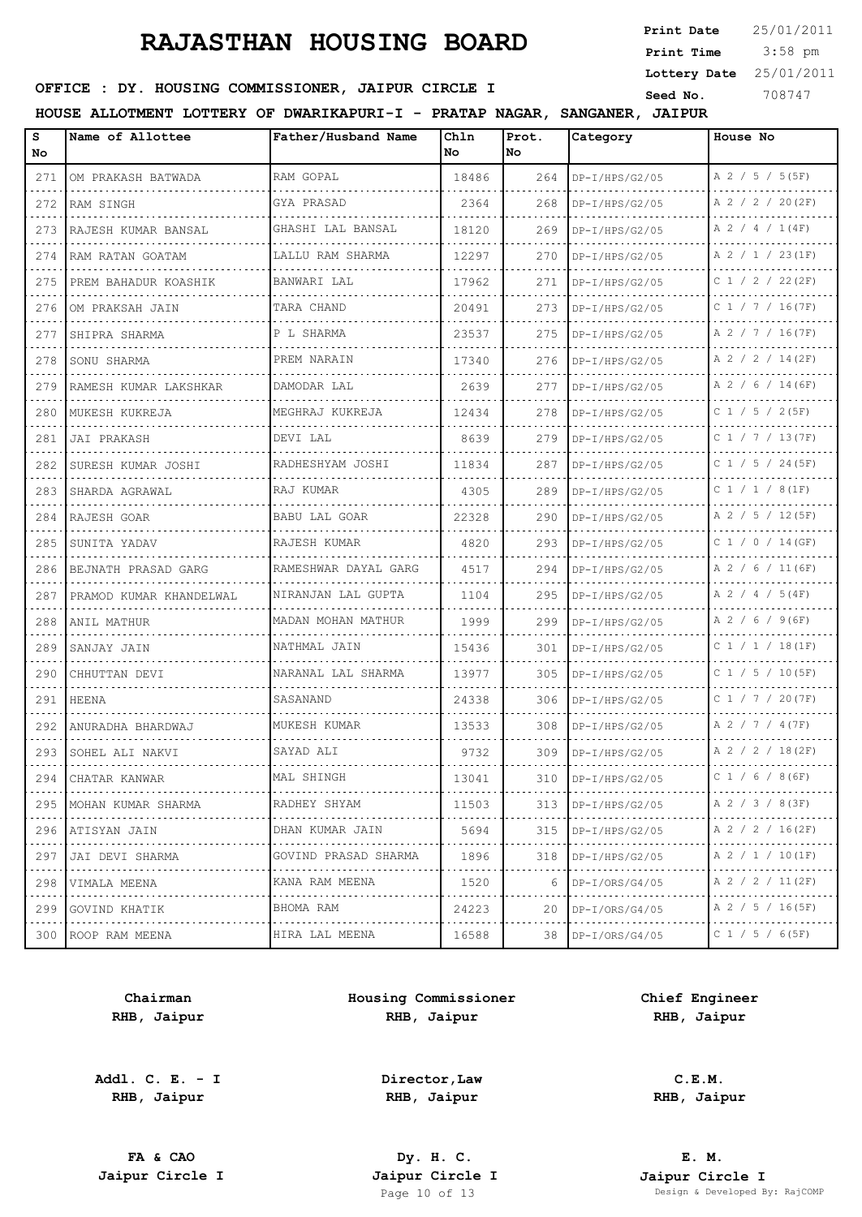3:58 pm **Print Date Print Time Lottery Date** 25/01/2011

## **SEED OFFICE : DY. HOUSING COMMISSIONER, JAIPUR CIRCLE I** Seed No. 308747

**HOUSE ALLOTMENT LOTTERY OF DWARIKAPURI-I - PRATAP NAGAR, SANGANER, JAIPUR**

| s<br>No                                                                                                                          | Name of Allottee        | Father/Husband Name       | Chln<br>No | Prot.<br>No. | Category                              | House No              |
|----------------------------------------------------------------------------------------------------------------------------------|-------------------------|---------------------------|------------|--------------|---------------------------------------|-----------------------|
| 271                                                                                                                              | OM PRAKASH BATWADA      | RAM GOPAL                 | 18486      | 264          | $DP-I/HPS/G2/05$                      | A 2 / 5 / 5 (5F)      |
| 272                                                                                                                              | RAM SINGH               | <b>GYA PRASAD</b>         | 2364       | 268          | $DP-I/HPS/G2/05$                      | A 2 / 2 / 20(2F)      |
| 273                                                                                                                              | RAJESH KUMAR BANSAL     | GHASHI LAL BANSAL         | 18120      | 269          | $DP-I/HPS/G2/05$                      | A 2 / 4 / 1(4F)       |
| 274                                                                                                                              | RAM RATAN GOATAM        | LALLU RAM SHARMA          | 12297      | 270          | $DP-I/HPS/G2/05$                      | A 2 / 1 / 23(1F)      |
| 275                                                                                                                              | PREM BAHADUR KOASHIK    | BANWARI LAL               | 17962      | 271          | $DP-I/HPS/G2/05$                      | $C$ 1 / 2 / 22(2F)    |
| 276                                                                                                                              | OM PRAKSAH JAIN         | TARA CHAND                | 20491      | 273          | $DP-I/HPS/G2/05$                      | $C$ 1 / 7 / 16(7F)    |
| 277                                                                                                                              | SHIPRA SHARMA           | P L SHARMA                | 23537      | 275          | $DP-I/HPS/G2/05$                      | A 2 / 7 / 16(7F)      |
| 278                                                                                                                              | SONU SHARMA             | PREM NARAIN               | 17340      | 276          | $DP-I/HPS/G2/05$                      | A 2 / 2 / 14(2F)      |
| 279                                                                                                                              | RAMESH KUMAR LAKSHKAR   | DAMODAR LAL               | 2639       | 277          | $DP-I/HPS/G2/05$                      | A 2 / 6 / 14 (6F)     |
| 280                                                                                                                              | MUKESH KUKREJA          | MEGHRAJ KUKREJA           | 12434      | 278          | $DP-I/HPS/G2/05$                      | $C$ 1 / 5 / 2(5F)     |
| 281                                                                                                                              | JAI PRAKASH             | DEVI LAL                  | 8639       | 279          | $DP-I/HPS/G2/05$                      | C 1 / 7 / 13 (7F)     |
| 282                                                                                                                              | SURESH KUMAR JOSHI      | RADHESHYAM JOSHI          | 11834      | 287          | $DP-I/HPS/G2/05$<br>.                 | $C$ 1 / 5 / 24(5F)    |
| 283                                                                                                                              | SHARDA AGRAWAL          | RAJ KUMAR                 | 4305       | 289          | DP-I/HPS/G2/05                        | $C$ 1 / 1 / 8(1F)     |
| 284                                                                                                                              | RAJESH GOAR             | <b>BABU LAL GOAR</b>      | 22328      | 290          | $DP-I/HPS/G2/05$                      | A 2 / 5 / 12(5F)      |
| 285                                                                                                                              | SUNITA YADAV            | RAJESH KUMAR              | 4820       | 293          | .<br>$DP-I/HPS/G2/05$                 | $C$ 1 / 0 / 14 (GF)   |
| 286                                                                                                                              | BEJNATH PRASAD GARG     | RAMESHWAR DAYAL GARG      | 4517       | 294          | $DP-I/HPS/G2/05$                      | A 2 / 6 / 11 (6F)     |
| 287                                                                                                                              | PRAMOD KUMAR KHANDELWAL | NIRANJAN LAL GUPTA        | 1104       | 295          | $DP-I/HPS/G2/05$                      | $A$ 2 / 4 / 5(4F)     |
| 288                                                                                                                              | ANIL MATHUR             | MADAN MOHAN MATHUR        | 1999       | 299          | $DP-I/HPS/G2/05$<br>a dia dia dia dia | A 2 / 6 / 9 (6F)      |
| 289                                                                                                                              | SANJAY JAIN             | NATHMAL JAIN              | 15436      | 301          | $DP-I/HPS/G2/05$                      | $C_1 / 1 / 18(1F)$    |
| 290                                                                                                                              | CHHUTTAN DEVI           | NARANAL LAL SHARMA        | 13977      | 305          | $DP-I/HPS/G2/05$<br>dia a dia a dia a | C $1 / 5 / 10(5F)$    |
| 291                                                                                                                              | HEENA                   | SASANAND                  | 24338      | 306          | $DP-I/HPS/G2/05$                      | C 1 / 7 / 20(7F)      |
| 292                                                                                                                              | ANURADHA BHARDWAJ       | MUKESH KUMAR<br>.         | 13533      | 308          | DP-I/HPS/G2/05                        | A 2 / 7 / 4 (7F)      |
| 293                                                                                                                              | SOHEL ALI NAKVI         | SAYAD ALI                 | 9732       | 309          | $DP-I/HPS/G2/05$                      | A 2 / 2 / 18(2F)      |
| 294                                                                                                                              | CHATAR KANWAR           | MAL SHINGH                | 13041      | 310          | DP-I/HPS/G2/05                        | C $1 / 6 / 8 (6F)$    |
| 295                                                                                                                              | MOHAN KUMAR SHARMA      | RADHEY SHYAM<br>.         | 11503      | 313          | $DP-I/HPS/G2/05$                      | A 2 / 3 / 8 (3F)      |
| $\frac{1}{2} \left( \frac{1}{2} \right) \left( \frac{1}{2} \right) \left( \frac{1}{2} \right) \left( \frac{1}{2} \right)$<br>296 | ATISYAN JAIN            | DHAN KUMAR JAIN           | 5694       | 315          | $DP-I/HPS/G2/05$                      | A 2 / 2 / 16(2F)      |
| 297<br>$- - - -$                                                                                                                 | JAI DEVI SHARMA         | GOVIND PRASAD SHARMA<br>. | 1896       | 318          | $DP-I/HPS/G2/05$                      | A 2 / 1 / 10(1F)<br>. |
| 298                                                                                                                              | VIMALA MEENA            | KANA RAM MEENA            | 1520       | 6            | $DP-I/ORS/G4/05$                      | A 2 / 2 / 11(2F)      |
| 299                                                                                                                              | GOVIND KHATIK           | BHOMA RAM<br>.            | 24223      | 20           | $DP-I/ORS/G4/05$                      | A 2 / 5 / 16(5F)<br>. |
| 300                                                                                                                              | ROOP RAM MEENA          | HIRA LAL MEENA            | 16588      | 38           | $DP-I/ORS/G4/05$                      | C 1 / 5 / 6 (5F)      |

**Chairman RHB, Jaipur**

**Addl. C. E. - I RHB, Jaipur**

**Housing Commissioner RHB, Jaipur**

**Chief Engineer RHB, Jaipur**

**Director,Law RHB, Jaipur**

**FA & CAO Dy. H. C.**

**C.E.M. RHB, Jaipur**

**E. M. Jaipur Circle I Jaipur Circle I Jaipur Circle I Jaipur Circle I Jaipur Circle I Page 10 of 13 Design & Developed B** Design & Developed By: RajCOMP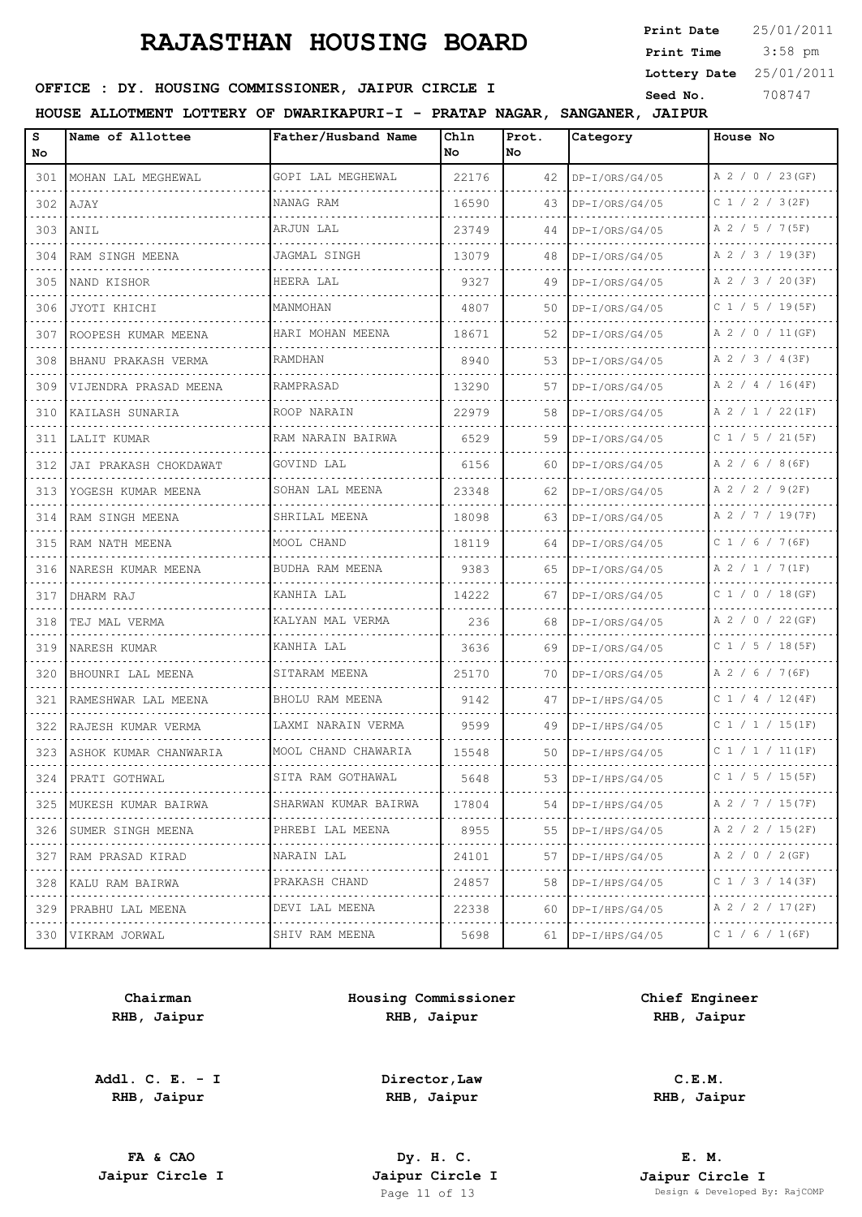3:58 pm **Print Date Print Time Lottery Date** 25/01/2011

## **SEED OFFICE : DY. HOUSING COMMISSIONER, JAIPUR CIRCLE I** Seed No. 308747

**HOUSE ALLOTMENT LOTTERY OF DWARIKAPURI-I - PRATAP NAGAR, SANGANER, JAIPUR**

| s<br>No | Name of Allottee      | Father/Husband Name    | Chln<br>No. | Prot.<br>lNo. | Category              | House No            |
|---------|-----------------------|------------------------|-------------|---------------|-----------------------|---------------------|
| 301     | MOHAN LAL MEGHEWAL    | GOPI LAL MEGHEWAL      | 22176       | 42            | DP-I/ORS/G4/05        | A 2 / 0 / 23 (GF)   |
| 302     | AJAY                  | NANAG RAM              | 16590       | 43            | $DP-I/ORS/G4/05$      | $C$ 1 / 2 / 3(2F)   |
| 303     | ANIL                  | .<br>ARJUN LAL         | 23749       | 44            | .<br>$DP-I/ORS/G4/05$ | A 2 / 5 / 7 (5F)    |
| 304     | RAM SINGH MEENA       | JAGMAL SINGH           | 13079       | 48            | $DP-I/ORS/G4/05$      | A 2 / 3 / 19(3F)    |
| 305     | NAND KISHOR           | HEERA LAL              | 9327        | 49            | $DP-I/ORS/G4/05$      | A 2 / 3 / 20(3F)    |
| 306     | JYOTI KHICHI          | MANMOHAN               | 4807        | 50            | $DP-I/ORS/G4/05$      | $C$ 1 / 5 / 19(5F)  |
| 307     | ROOPESH KUMAR MEENA   | HARI MOHAN MEENA       | 18671       | 52            | $DP-I/ORS/G4/05$      | A 2 / 0 / 11 (GF)   |
| 308     | BHANU PRAKASH VERMA   | RAMDHAN                | 8940        | 53            | $DP-I/ORS/G4/05$      | A 2 / 3 / 4 (3F)    |
| 309     | VIJENDRA PRASAD MEENA | RAMPRASAD              | 13290       | 57            | $DP-I/ORS/G4/05$      | A 2 / 4 / 16(4F)    |
| 310     | KAILASH SUNARIA       | ROOP NARAIN            | 22979       | 58            | DP-I/ORS/G4/05        | A 2 / 1 / 22(1F)    |
| 311     | LALIT KUMAR           | .<br>RAM NARAIN BAIRWA | 6529        | 59            | $DP-I/ORS/G4/05$      | C $1 / 5 / 21 (5F)$ |
| 312     | JAI PRAKASH CHOKDAWAT | GOVIND LAL             | 6156        | 60            | $DP-I/ORS/G4/05$      | A 2 / 6 / 8 (6F)    |
| 313     | YOGESH KUMAR MEENA    | SOHAN LAL MEENA        | 23348       | 62            | DP-I/ORS/G4/05        | A 2 / 2 / 9(2F)     |
| 314     | RAM SINGH MEENA       | SHRILAL MEENA          | 18098       | 63            | $DP-I/ORS/G4/05$      | A 2 / 7 / 19(7F)    |
| 315     | RAM NATH MEENA        | .<br>MOOL CHAND        | 18119       | 64            | $DP-I/ORS/G4/05$      | C $1 / 6 / 7(6F)$   |
| 316     | NARESH KUMAR MEENA    | BUDHA RAM MEENA        | 9383        | 65            | $DP-I/ORS/G4/05$      | A 2 / 1 / 7(1F)     |
| 317     | DHARM RAJ             | KANHIA LAL             | 14222       | 67            | $DP-I/ORS/G4/05$      | C1 / 0 / 18 (GF)    |
| 318     | TEJ MAL VERMA         | KALYAN MAL VERMA       | 236         | 68            | $DP-I/ORS/G4/05$      | A 2 / 0 / 22 (GF)   |
| 319     | NARESH KUMAR          | KANHIA LAL             | 3636        | 69            | $DP-I/ORS/G4/05$      | C $1 / 5 / 18 (5F)$ |
| 320     | BHOUNRI LAL MEENA     | SITARAM MEENA          | 25170       | 70            | $DP-I/ORS/G4/05$      | A 2 / 6 / 7 (6F)    |
| 321     | RAMESHWAR LAL MEENA   | BHOLU RAM MEENA        | 9142        | 47            | $DP-I/HPS/G4/05$      | C 1 / 4 / 12(4F)    |
| 322     | RAJESH KUMAR VERMA    | LAXMI NARAIN VERMA     | 9599        | 49            | $DP-I/HPS/G4/05$      | $C$ 1 / 1 / 15(1F)  |
| 323     | ASHOK KUMAR CHANWARIA | MOOL CHAND CHAWARIA    | 15548       | 50            | $DP-I/HPS/G4/05$      | $C$ 1 / 1 / 11 (1F) |
|         | 324   PRATI GOTHWAL   | SITA RAM GOTHAWAL      | 5648        | 53            | DP-I/HPS/G4/05        | C 1 / 5 / 15 (5F)   |
| 325     | MUKESH KUMAR BAIRWA   | SHARWAN KUMAR BAIRWA   | 17804       |               | 54   DP-I/HPS/G4/05   | A 2 / 7 / 15(7F)    |
| 326     | SUMER SINGH MEENA     | PHREBI LAL MEENA       | 8955        | 55 I          | DP-I/HPS/G4/05        | A 2 / 2 / 15(2F)    |
| 327     | RAM PRASAD KIRAD      | NARAIN LAL             | 24101       | 57            | $DP-I/HPS/G4/05$      | A 2 / 0 / 2 (GF)    |
| 328     | KALU RAM BAIRWA       | PRAKASH CHAND          | 24857       | 58            | $DP-I/HPS/G4/05$      | C 1 / 3 / 14 (3F)   |
| 329     | PRABHU LAL MEENA      | DEVI LAL MEENA         | 22338       | 60            | DP-I/HPS/G4/05        | A 2 / 2 / 17(2F)    |
| 330     | VIKRAM JORWAL         | SHIV RAM MEENA         | 5698        | 61            | $DP-I/HPS/G4/05$      | C $1 / 6 / 1 (6F)$  |

**Chairman RHB, Jaipur**

**Addl. C. E. - I RHB, Jaipur**

**Housing Commissioner RHB, Jaipur**

**Chief Engineer RHB, Jaipur**

**C.E.M.**

**Director,Law RHB, Jaipur**

**RHB, Jaipur**

**FA & CAO Dy. H. C. Jaipur Circle I Jaipur Circle I Jaipur Circle I Jaipur Circle I Jaipur Circle I Page 11 of 13 Design & Developed B**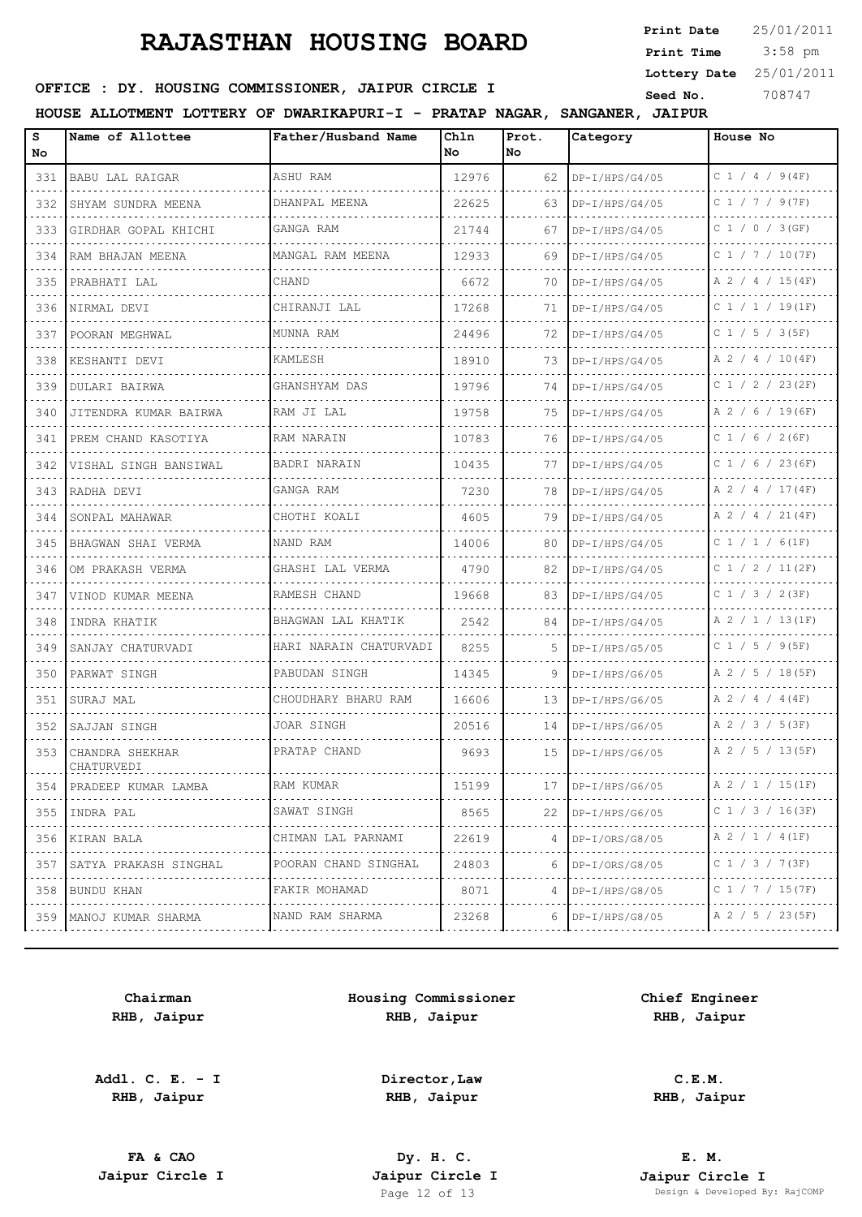3:58 pm **Print Date Print Time Lottery Date** 25/01/2011

## **SEED OFFICE : DY. HOUSING COMMISSIONER, JAIPUR CIRCLE I** Seed No. 308747

**HOUSE ALLOTMENT LOTTERY OF DWARIKAPURI-I - PRATAP NAGAR, SANGANER, JAIPUR**

| s<br>No       | Name of Allottee                                                                                                                     | Father/Husband Name       | Chln<br>No. | Prot.<br>lNo. | Category              | House No               |
|---------------|--------------------------------------------------------------------------------------------------------------------------------------|---------------------------|-------------|---------------|-----------------------|------------------------|
| 331           | BABU LAL RAIGAR                                                                                                                      | ASHU RAM                  | 12976       | 62            | $DP-I/HPS/G4/05$      | $C$ 1 / 4 / 9(4F)      |
| 332           | SHYAM SUNDRA MEENA                                                                                                                   | DHANPAL MEENA             | 22625       | 63.           | $DP-I/HPS/G4/05$      | $C$ 1 / 7 / 9(7F)<br>. |
| 333           | GIRDHAR GOPAL KHICHI                                                                                                                 | GANGA RAM                 | 21744       | 67            | $DP-I/HPS/G4/05$      | C1 / 0 / 3(GF)         |
| 334           | RAM BHAJAN MEENA                                                                                                                     | MANGAL RAM MEENA          | 12933       | 69            | $DP-I/HPS/G4/05$      | C 1 / 7 / 10(7F)<br>.  |
| 335           | PRABHATI LAL                                                                                                                         | CHAND                     | 6672        | 70            | DP-I/HPS/G4/05        | A 2 / 4 / 15(4F)       |
| 336           | NIRMAL DEVI                                                                                                                          | CHIRANJI LAL              | 17268       | 71            | $DP-I/HPS/G4/05$      | $C_1 / 1 / 19(1F)$     |
| 337           | POORAN MEGHWAL                                                                                                                       | MUNNA RAM                 | 24496       | 72            | $DP-I/HPS/G4/05$      | .<br>$C$ 1 / 5 / 3(5F) |
| 338           | KESHANTI DEVI                                                                                                                        | <b>KAMLESH</b>            | 18910       | 73            | $DP-I/HPS/G4/05$      | A 2 / 4 / 10(4F)       |
| 339           | DULARI BAIRWA                                                                                                                        | GHANSHYAM DAS             | 19796       | 74            | .<br>$DP-I/HPS/G4/05$ | C 1 / 2 / 23(2F)       |
| 340           | JITENDRA KUMAR BAIRWA                                                                                                                | RAM JI LAL                | 19758       | 75            | $DP-I/HPS/G4/05$      | A 2 / 6 / 19 (6F)      |
| 341           | PREM CHAND KASOTIYA                                                                                                                  | RAM NARAIN                | 10783       | 76            | DP-I/HPS/G4/05        | C $1 / 6 / 2 (6F)$     |
| 342           | VISHAL SINGH BANSIWAL                                                                                                                | <b>BADRI NARAIN</b>       | 10435       | 77            | DP-I/HPS/G4/05        | $C$ 1 / 6 / 23 (6F)    |
| 343           | RADHA DEVI                                                                                                                           | GANGA RAM                 | 7230        | 78            | $DP-I/HPS/G4/05$      | A 2 / 4 / 17(4F)       |
| 344           | SONPAL MAHAWAR                                                                                                                       | CHOTHI KOALI              | 4605        | 79            | $DP-I/HPS/G4/05$      | A 2 / 4 / 21(4F)       |
| 345           | BHAGWAN SHAI VERMA                                                                                                                   | NAND RAM                  | 14006       | 80            | $DP-I/HPS/G4/05$      | C 1 / 1 / 6(1F)        |
| 346           | OM PRAKASH VERMA                                                                                                                     | GHASHI LAL VERMA          | 4790        | 82            | $DP-I/HPS/G4/05$      | C 1 / 2 / 11 (2F)      |
| 347           | VINOD KUMAR MEENA                                                                                                                    | RAMESH CHAND              | 19668       | 83            | $DP-I/HPS/G4/05$      | C 1 / 3 / 2 (3F)       |
| 348           | INDRA KHATIK                                                                                                                         | BHAGWAN LAL KHATIK        | 2542        | 84            | $DP-I/HPS/G4/05$      | A 2 / 1 / 13(1F)       |
| 349           | SANJAY CHATURVADI                                                                                                                    | HARI NARAIN CHATURVADI    | 8255        | 5.            | $DP-I/HPS/G5/05$      | C 1 / 5 / 9 (5F)       |
| 350           | PARWAT SINGH                                                                                                                         | PABUDAN SINGH             | 14345       | 9             | $DP-I/HPS/G6/05$      | A 2 / 5 / 18(5F)       |
| 351           | SURAJ MAL                                                                                                                            | CHOUDHARY BHARU RAM       | 16606       | 13            | $DP-I/HPS/G6/05$      | $A$ 2 / 4 / 4 (4F)     |
| 352           | SAJJAN SINGH                                                                                                                         | JOAR SINGH                | 20516       | 14            | $DP-I/HPS/G6/05$      | A 2 / 3 / 5 (3F)       |
| 353           | CHANDRA SHEKHAR<br>CHATURVEDI                                                                                                        | PRATAP CHAND<br>.         | 9693        | 15            | $DP-I/HPS/G6/05$      | A 2 / 5 / 13(5F)<br>.  |
| 354           | PRADEEP KUMAR LAMBA                                                                                                                  | RAM KUMAR                 | 15199       | 17            | .<br>$DP-I/HPS/G6/05$ | A 2 / 1 / 15(1F)       |
| 355           | INDRA PAL                                                                                                                            | .<br>SAWAT SINGH          | 8565        | 22            | $DP-I/HPS/G6/05$      | C 1 / 3 / 16(3F)       |
| 356           | KIRAN BALA                                                                                                                           | CHIMAN LAL PARNAMI        | 22619       | 4             | $DP-I/ORS/G8/05$      | A 2 / 1 / 4 (1F)       |
| $   -$<br>357 | SATYA PRAKASH SINGHAL                                                                                                                | .<br>POORAN CHAND SINGHAL | 24803       | 6             | $DP-I/ORS/G8/05$      | C 1 / 3 / 7(3F)        |
| 358           | BUNDU KHAN<br>$\mathcal{L}^{\mathcal{A}}(\mathcal{A})=\mathcal{L}^{\mathcal{A}}(\mathcal{A})=\mathcal{L}^{\mathcal{A}}(\mathcal{A})$ | FAKIR MOHAMAD<br>.        | 8071        | 4             | DP-I/HPS/G8/05        | C 1 / 7 / 15 (7F)<br>. |
| 359           | MANOJ KUMAR SHARMA                                                                                                                   | NAND RAM SHARMA           | 23268       | 6             | $DP-I/HPS/G8/05$      | A 2 / 5 / 23 (5F)      |

**Chairman RHB, Jaipur**

**Addl. C. E. - I RHB, Jaipur**

**Housing Commissioner RHB, Jaipur**

**Chief Engineer RHB, Jaipur**

**Director,Law RHB, Jaipur**

**FA & CAO Dy. H. C.**

**C.E.M. RHB, Jaipur**

**E. M. Jaipur Circle I Jaipur Circle I Jaipur Circle I Jaipur Circle I Jaipur Circle I Page 12 of 13 Design & Developed B** Design & Developed By: RajCOMP